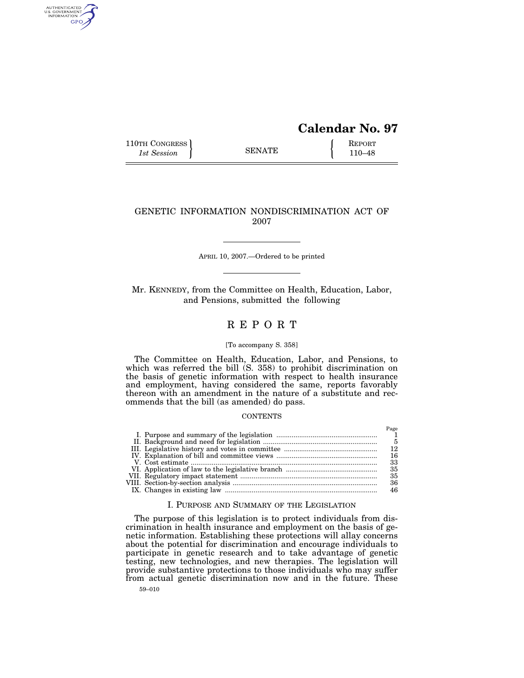# **Calendar No. 97**

 $P_{\alpha\alpha\alpha}$ 

110TH CONGRESS REPORT SENATE  $\left\{\begin{array}{c} \text{REPORT} \\ 110-48 \end{array}\right\}$ 1st Session **110–48 110–48** 

AUTHENTICATED<br>U.S. GOVERNMENT<br>INFORMATION GPO

## GENETIC INFORMATION NONDISCRIMINATION ACT OF 2007

APRIL 10, 2007.—Ordered to be printed

Mr. KENNEDY, from the Committee on Health, Education, Labor, and Pensions, submitted the following

# R E P O R T

#### [To accompany S. 358]

The Committee on Health, Education, Labor, and Pensions, to which was referred the bill (S. 358) to prohibit discrimination on the basis of genetic information with respect to health insurance and employment, having considered the same, reports favorably thereon with an amendment in the nature of a substitute and recommends that the bill (as amended) do pass.

## **CONTENTS**

|  | <b>L</b> ugu |
|--|--------------|
|  |              |
|  |              |
|  |              |
|  |              |
|  | 33           |
|  |              |
|  | 35           |
|  | 36           |
|  | 46           |

#### I. PURPOSE AND SUMMARY OF THE LEGISLATION

The purpose of this legislation is to protect individuals from discrimination in health insurance and employment on the basis of genetic information. Establishing these protections will allay concerns about the potential for discrimination and encourage individuals to participate in genetic research and to take advantage of genetic testing, new technologies, and new therapies. The legislation will provide substantive protections to those individuals who may suffer from actual genetic discrimination now and in the future. These

59–010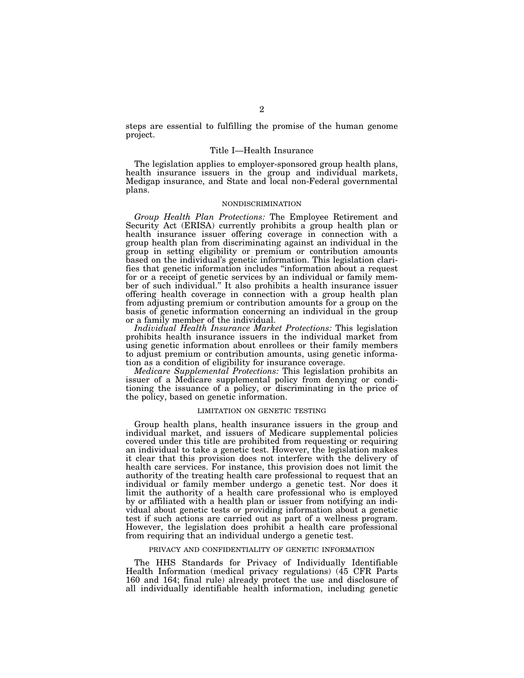steps are essential to fulfilling the promise of the human genome project.

## Title I—Health Insurance

The legislation applies to employer-sponsored group health plans, health insurance issuers in the group and individual markets, Medigap insurance, and State and local non-Federal governmental plans.

#### NONDISCRIMINATION

*Group Health Plan Protections:* The Employee Retirement and Security Act (ERISA) currently prohibits a group health plan or health insurance issuer offering coverage in connection with a group health plan from discriminating against an individual in the group in setting eligibility or premium or contribution amounts based on the individual's genetic information. This legislation clarifies that genetic information includes ''information about a request for or a receipt of genetic services by an individual or family member of such individual.'' It also prohibits a health insurance issuer offering health coverage in connection with a group health plan from adjusting premium or contribution amounts for a group on the basis of genetic information concerning an individual in the group or a family member of the individual.

*Individual Health Insurance Market Protections:* This legislation prohibits health insurance issuers in the individual market from using genetic information about enrollees or their family members to adjust premium or contribution amounts, using genetic information as a condition of eligibility for insurance coverage.

*Medicare Supplemental Protections:* This legislation prohibits an issuer of a Medicare supplemental policy from denying or conditioning the issuance of a policy, or discriminating in the price of the policy, based on genetic information.

#### LIMITATION ON GENETIC TESTING

Group health plans, health insurance issuers in the group and individual market, and issuers of Medicare supplemental policies covered under this title are prohibited from requesting or requiring an individual to take a genetic test. However, the legislation makes it clear that this provision does not interfere with the delivery of health care services. For instance, this provision does not limit the authority of the treating health care professional to request that an individual or family member undergo a genetic test. Nor does it limit the authority of a health care professional who is employed by or affiliated with a health plan or issuer from notifying an individual about genetic tests or providing information about a genetic test if such actions are carried out as part of a wellness program. However, the legislation does prohibit a health care professional from requiring that an individual undergo a genetic test.

#### PRIVACY AND CONFIDENTIALITY OF GENETIC INFORMATION

The HHS Standards for Privacy of Individually Identifiable Health Information (medical privacy regulations) (45 CFR Parts 160 and 164; final rule) already protect the use and disclosure of all individually identifiable health information, including genetic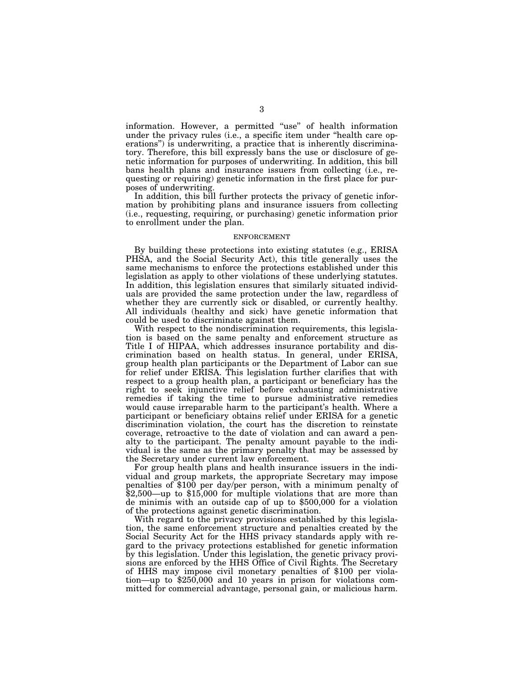information. However, a permitted ''use'' of health information under the privacy rules (i.e., a specific item under ''health care operations'') is underwriting, a practice that is inherently discriminatory. Therefore, this bill expressly bans the use or disclosure of genetic information for purposes of underwriting. In addition, this bill bans health plans and insurance issuers from collecting (i.e., requesting or requiring) genetic information in the first place for purposes of underwriting.

In addition, this bill further protects the privacy of genetic information by prohibiting plans and insurance issuers from collecting (i.e., requesting, requiring, or purchasing) genetic information prior to enrollment under the plan.

#### ENFORCEMENT

By building these protections into existing statutes (e.g., ERISA PHSA, and the Social Security Act), this title generally uses the same mechanisms to enforce the protections established under this legislation as apply to other violations of these underlying statutes. In addition, this legislation ensures that similarly situated individuals are provided the same protection under the law, regardless of whether they are currently sick or disabled, or currently healthy. All individuals (healthy and sick) have genetic information that could be used to discriminate against them.

With respect to the nondiscrimination requirements, this legislation is based on the same penalty and enforcement structure as Title I of HIPAA, which addresses insurance portability and discrimination based on health status. In general, under ERISA, group health plan participants or the Department of Labor can sue for relief under ERISA. This legislation further clarifies that with respect to a group health plan, a participant or beneficiary has the right to seek injunctive relief before exhausting administrative remedies if taking the time to pursue administrative remedies would cause irreparable harm to the participant's health. Where a participant or beneficiary obtains relief under ERISA for a genetic discrimination violation, the court has the discretion to reinstate coverage, retroactive to the date of violation and can award a penalty to the participant. The penalty amount payable to the individual is the same as the primary penalty that may be assessed by the Secretary under current law enforcement.

For group health plans and health insurance issuers in the individual and group markets, the appropriate Secretary may impose penalties of \$100 per day/per person, with a minimum penalty of \$2,500—up to \$15,000 for multiple violations that are more than de minimis with an outside cap of up to \$500,000 for a violation of the protections against genetic discrimination.

With regard to the privacy provisions established by this legislation, the same enforcement structure and penalties created by the Social Security Act for the HHS privacy standards apply with regard to the privacy protections established for genetic information by this legislation. Under this legislation, the genetic privacy provisions are enforced by the HHS Office of Civil Rights. The Secretary of HHS may impose civil monetary penalties of \$100 per violation—up to \$250,000 and 10 years in prison for violations committed for commercial advantage, personal gain, or malicious harm.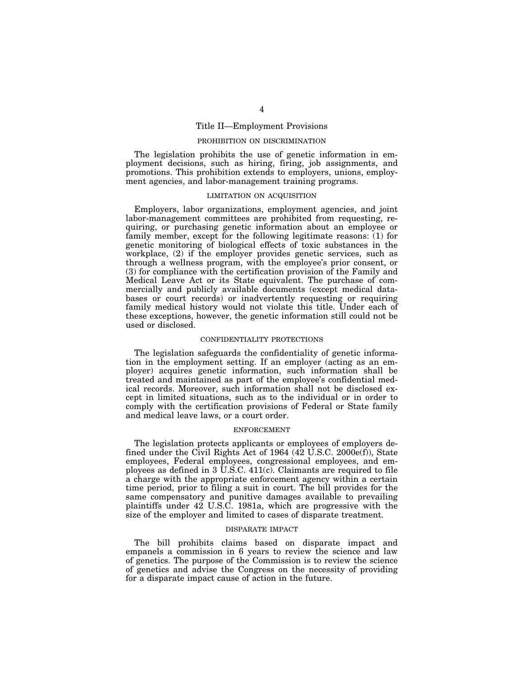## Title II—Employment Provisions

## PROHIBITION ON DISCRIMINATION

The legislation prohibits the use of genetic information in employment decisions, such as hiring, firing, job assignments, and promotions. This prohibition extends to employers, unions, employment agencies, and labor-management training programs.

#### LIMITATION ON ACQUISITION

Employers, labor organizations, employment agencies, and joint labor-management committees are prohibited from requesting, requiring, or purchasing genetic information about an employee or family member, except for the following legitimate reasons: (1) for genetic monitoring of biological effects of toxic substances in the workplace, (2) if the employer provides genetic services, such as through a wellness program, with the employee's prior consent, or (3) for compliance with the certification provision of the Family and Medical Leave Act or its State equivalent. The purchase of commercially and publicly available documents (except medical databases or court records) or inadvertently requesting or requiring family medical history would not violate this title. Under each of these exceptions, however, the genetic information still could not be used or disclosed.

#### CONFIDENTIALITY PROTECTIONS

The legislation safeguards the confidentiality of genetic information in the employment setting. If an employer (acting as an employer) acquires genetic information, such information shall be treated and maintained as part of the employee's confidential medical records. Moreover, such information shall not be disclosed except in limited situations, such as to the individual or in order to comply with the certification provisions of Federal or State family and medical leave laws, or a court order.

## ENFORCEMENT

The legislation protects applicants or employees of employers defined under the Civil Rights Act of 1964 (42 U.S.C. 2000e(f)), State employees, Federal employees, congressional employees, and employees as defined in 3 U.S.C. 411(c). Claimants are required to file a charge with the appropriate enforcement agency within a certain time period, prior to filing a suit in court. The bill provides for the same compensatory and punitive damages available to prevailing plaintiffs under 42 U.S.C. 1981a, which are progressive with the size of the employer and limited to cases of disparate treatment.

#### DISPARATE IMPACT

The bill prohibits claims based on disparate impact and empanels a commission in 6 years to review the science and law of genetics. The purpose of the Commission is to review the science of genetics and advise the Congress on the necessity of providing for a disparate impact cause of action in the future.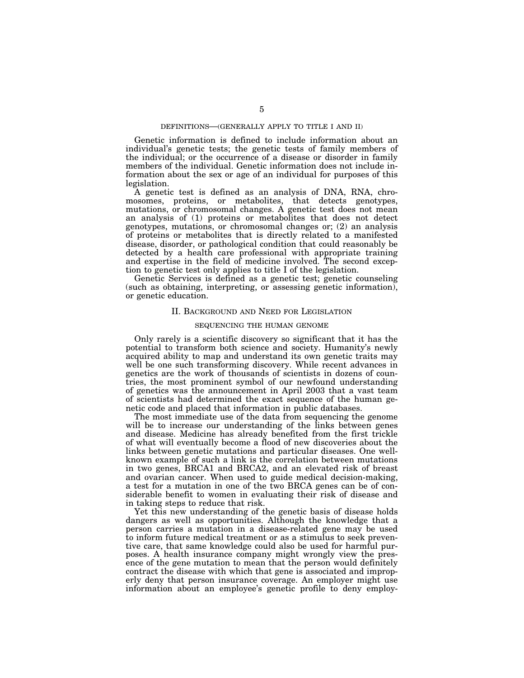### DEFINITIONS—(GENERALLY APPLY TO TITLE I AND II)

Genetic information is defined to include information about an individual's genetic tests; the genetic tests of family members of the individual; or the occurrence of a disease or disorder in family members of the individual. Genetic information does not include information about the sex or age of an individual for purposes of this legislation.

A genetic test is defined as an analysis of DNA, RNA, chromosomes, proteins, or metabolites, that detects genotypes, mutations, or chromosomal changes. A genetic test does not mean an analysis of (1) proteins or metabolites that does not detect genotypes, mutations, or chromosomal changes or; (2) an analysis of proteins or metabolites that is directly related to a manifested disease, disorder, or pathological condition that could reasonably be detected by a health care professional with appropriate training and expertise in the field of medicine involved. The second exception to genetic test only applies to title I of the legislation.

Genetic Services is defined as a genetic test; genetic counseling (such as obtaining, interpreting, or assessing genetic information), or genetic education.

#### II. BACKGROUND AND NEED FOR LEGISLATION

## SEQUENCING THE HUMAN GENOME

Only rarely is a scientific discovery so significant that it has the potential to transform both science and society. Humanity's newly acquired ability to map and understand its own genetic traits may well be one such transforming discovery. While recent advances in genetics are the work of thousands of scientists in dozens of countries, the most prominent symbol of our newfound understanding of genetics was the announcement in April 2003 that a vast team of scientists had determined the exact sequence of the human genetic code and placed that information in public databases.

The most immediate use of the data from sequencing the genome will be to increase our understanding of the links between genes and disease. Medicine has already benefited from the first trickle of what will eventually become a flood of new discoveries about the links between genetic mutations and particular diseases. One wellknown example of such a link is the correlation between mutations in two genes, BRCA1 and BRCA2, and an elevated risk of breast and ovarian cancer. When used to guide medical decision-making, a test for a mutation in one of the two BRCA genes can be of considerable benefit to women in evaluating their risk of disease and in taking steps to reduce that risk.

Yet this new understanding of the genetic basis of disease holds dangers as well as opportunities. Although the knowledge that a person carries a mutation in a disease-related gene may be used to inform future medical treatment or as a stimulus to seek preventive care, that same knowledge could also be used for harmful purposes. A health insurance company might wrongly view the presence of the gene mutation to mean that the person would definitely contract the disease with which that gene is associated and improperly deny that person insurance coverage. An employer might use information about an employee's genetic profile to deny employ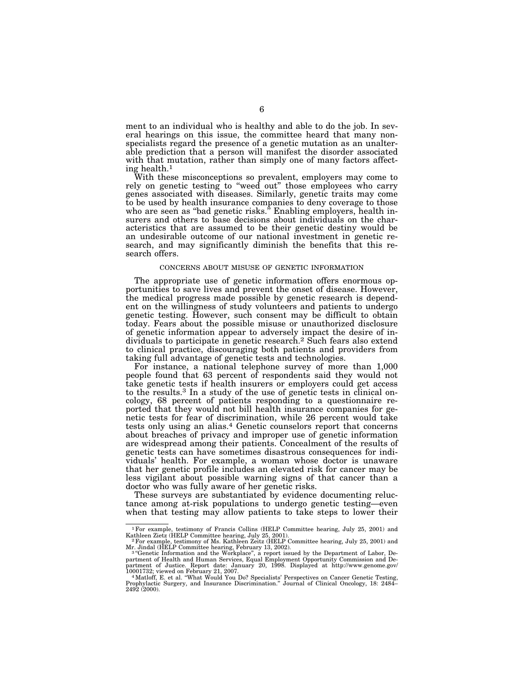ment to an individual who is healthy and able to do the job. In several hearings on this issue, the committee heard that many nonspecialists regard the presence of a genetic mutation as an unalterable prediction that a person will manifest the disorder associated with that mutation, rather than simply one of many factors affecting health.1

With these misconceptions so prevalent, employers may come to rely on genetic testing to "weed out" those employees who carry genes associated with diseases. Similarly, genetic traits may come to be used by health insurance companies to deny coverage to those who are seen as ''bad genetic risks.'' Enabling employers, health insurers and others to base decisions about individuals on the characteristics that are assumed to be their genetic destiny would be an undesirable outcome of our national investment in genetic research, and may significantly diminish the benefits that this research offers.

#### CONCERNS ABOUT MISUSE OF GENETIC INFORMATION

The appropriate use of genetic information offers enormous opportunities to save lives and prevent the onset of disease. However, the medical progress made possible by genetic research is dependent on the willingness of study volunteers and patients to undergo genetic testing. However, such consent may be difficult to obtain today. Fears about the possible misuse or unauthorized disclosure of genetic information appear to adversely impact the desire of individuals to participate in genetic research.2 Such fears also extend to clinical practice, discouraging both patients and providers from taking full advantage of genetic tests and technologies.

For instance, a national telephone survey of more than 1,000 people found that 63 percent of respondents said they would not take genetic tests if health insurers or employers could get access to the results.3 In a study of the use of genetic tests in clinical oncology, 68 percent of patients responding to a questionnaire reported that they would not bill health insurance companies for genetic tests for fear of discrimination, while 26 percent would take tests only using an alias.4 Genetic counselors report that concerns about breaches of privacy and improper use of genetic information are widespread among their patients. Concealment of the results of genetic tests can have sometimes disastrous consequences for individuals' health. For example, a woman whose doctor is unaware that her genetic profile includes an elevated risk for cancer may be less vigilant about possible warning signs of that cancer than a doctor who was fully aware of her genetic risks.

These surveys are substantiated by evidence documenting reluctance among at-risk populations to undergo genetic testing—even when that testing may allow patients to take steps to lower their

<sup>&</sup>lt;sup>1</sup>For example, testimony of Francis Collins (HELP Committee hearing, July 25, 2001) and Kathleen Zietz (HELP Committee hearing, July 25, 2001). Kathleen Zietz (HELP Committee hearing, July 25, 2001). 2For example, testimony of Ms. Kathleen Zeitz (HELP Committee hearing, July 25, 2001) and

Mr. Jindal (HELP Committee hearing, February 13, 2002). 3 ''Genetic Information and the Workplace'', a report issued by the Department of Labor, De-

partment of Health and Human Services, Equal Employment Opportunity Commission and De-partment of Justice. Report date: January 20, 1998. Displayed at http://www.genome.gov/

<sup>10001732;</sup> viewed on February 21, 2007.<br>"Matloff, E. et al. "What Would You Do? Specialists' Perspectives on Cancer Genetic Testing,<br>Prophylactic Surgery, and Insurance Discrimination." Journal of Clinical Oncology, 18: 248 2492 (2000).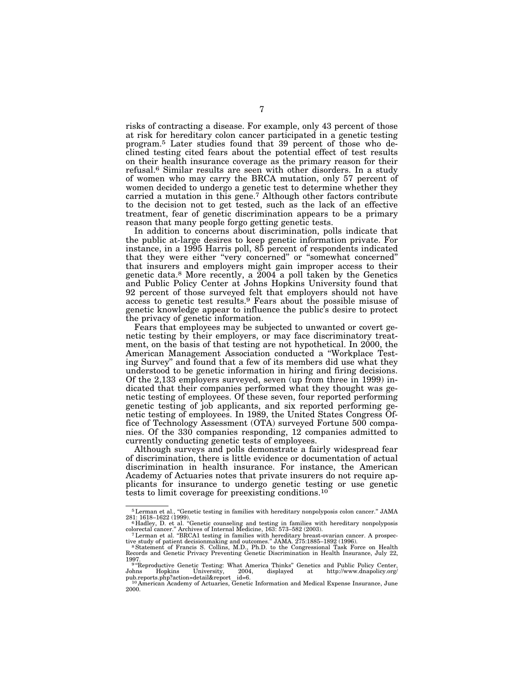risks of contracting a disease. For example, only 43 percent of those at risk for hereditary colon cancer participated in a genetic testing program.5 Later studies found that 39 percent of those who declined testing cited fears about the potential effect of test results on their health insurance coverage as the primary reason for their refusal.6 Similar results are seen with other disorders. In a study of women who may carry the BRCA mutation, only 57 percent of women decided to undergo a genetic test to determine whether they carried a mutation in this gene.7 Although other factors contribute to the decision not to get tested, such as the lack of an effective treatment, fear of genetic discrimination appears to be a primary reason that many people forgo getting genetic tests.

In addition to concerns about discrimination, polls indicate that the public at-large desires to keep genetic information private. For instance, in a 1995 Harris poll, 85 percent of respondents indicated that they were either ''very concerned'' or ''somewhat concerned'' that insurers and employers might gain improper access to their genetic data.8 More recently, a 2004 a poll taken by the Genetics and Public Policy Center at Johns Hopkins University found that 92 percent of those surveyed felt that employers should not have access to genetic test results.9 Fears about the possible misuse of genetic knowledge appear to influence the public's desire to protect the privacy of genetic information.

Fears that employees may be subjected to unwanted or covert genetic testing by their employers, or may face discriminatory treatment, on the basis of that testing are not hypothetical. In 2000, the American Management Association conducted a ''Workplace Testing Survey'' and found that a few of its members did use what they understood to be genetic information in hiring and firing decisions. Of the 2,133 employers surveyed, seven (up from three in 1999) indicated that their companies performed what they thought was genetic testing of employees. Of these seven, four reported performing genetic testing of job applicants, and six reported performing genetic testing of employees. In 1989, the United States Congress Office of Technology Assessment (OTA) surveyed Fortune 500 companies. Of the 330 companies responding, 12 companies admitted to currently conducting genetic tests of employees.

Although surveys and polls demonstrate a fairly widespread fear of discrimination, there is little evidence or documentation of actual discrimination in health insurance. For instance, the American Academy of Actuaries notes that private insurers do not require applicants for insurance to undergo genetic testing or use genetic tests to limit coverage for preexisting conditions.10

<sup>5</sup>Lerman et al., ''Genetic testing in families with hereditary nonpolyposis colon cancer.'' JAMA 281: 1618–1622 (1999).<br><sup>6</sup> Hadley, D. et al. "Genetic counseling and testing in families with hereditary nonpolyposis

colorectal cancer.'' Archives of Internal Medicine, 163: 573–582 (2003). 7Lerman et al. ''BRCA1 testing in families with hereditary breast-ovarian cancer. A prospec-

tive study of patient decisionmaking and outcomes." JAMA. 275:1885–1892 (1996).<br>" Statement of Francis S. Collins, M.D., Ph.D. to the Congressional Task Force on Health<br>Records and Genetic Privacy Preventing Genetic Discri

<sup>1997. 9</sup> ''Reproductive Genetic Testing: What America Thinks'' Genetics and Public Policy Center, Johns Hopkins University, 2004, displayed at http://www.dnapolicy.org/

pub.reports.php?action=detail&report\_id=6. 10 American Academy of Actuaries, Genetic Information and Medical Expense Insurance, June

<sup>2000.</sup>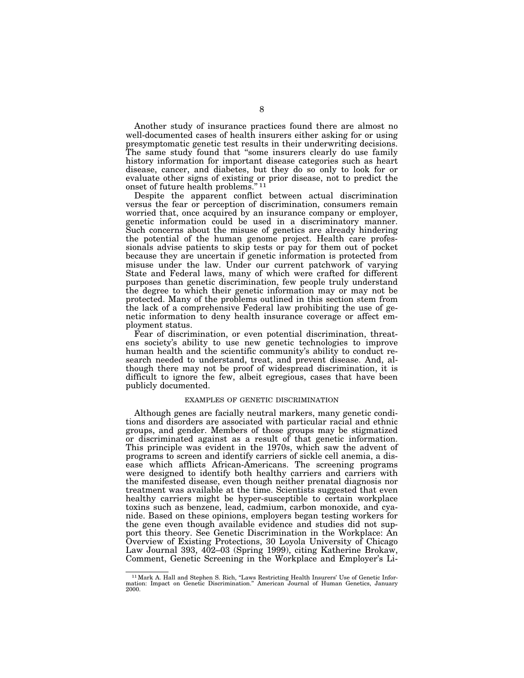Another study of insurance practices found there are almost no well-documented cases of health insurers either asking for or using presymptomatic genetic test results in their underwriting decisions. The same study found that "some insurers clearly do use family history information for important disease categories such as heart disease, cancer, and diabetes, but they do so only to look for or evaluate other signs of existing or prior disease, not to predict the onset of future health problems.'' 11

Despite the apparent conflict between actual discrimination versus the fear or perception of discrimination, consumers remain worried that, once acquired by an insurance company or employer, genetic information could be used in a discriminatory manner. Such concerns about the misuse of genetics are already hindering the potential of the human genome project. Health care professionals advise patients to skip tests or pay for them out of pocket because they are uncertain if genetic information is protected from misuse under the law. Under our current patchwork of varying State and Federal laws, many of which were crafted for different purposes than genetic discrimination, few people truly understand the degree to which their genetic information may or may not be protected. Many of the problems outlined in this section stem from the lack of a comprehensive Federal law prohibiting the use of genetic information to deny health insurance coverage or affect employment status.

Fear of discrimination, or even potential discrimination, threatens society's ability to use new genetic technologies to improve human health and the scientific community's ability to conduct research needed to understand, treat, and prevent disease. And, although there may not be proof of widespread discrimination, it is difficult to ignore the few, albeit egregious, cases that have been publicly documented.

#### EXAMPLES OF GENETIC DISCRIMINATION

Although genes are facially neutral markers, many genetic conditions and disorders are associated with particular racial and ethnic groups, and gender. Members of those groups may be stigmatized or discriminated against as a result of that genetic information. This principle was evident in the 1970s, which saw the advent of programs to screen and identify carriers of sickle cell anemia, a disease which afflicts African-Americans. The screening programs were designed to identify both healthy carriers and carriers with the manifested disease, even though neither prenatal diagnosis nor treatment was available at the time. Scientists suggested that even healthy carriers might be hyper-susceptible to certain workplace toxins such as benzene, lead, cadmium, carbon monoxide, and cyanide. Based on these opinions, employers began testing workers for the gene even though available evidence and studies did not support this theory. See Genetic Discrimination in the Workplace: An Overview of Existing Protections, 30 Loyola University of Chicago Law Journal 393, 402–03 (Spring 1999), citing Katherine Brokaw, Comment, Genetic Screening in the Workplace and Employer's Li-

<sup>&</sup>lt;sup>11</sup> Mark A. Hall and Stephen S. Rich, "Laws Restricting Health Insurers' Use of Genetic Infor-<br>mation: Impact on Genetic Discrimination." American Journal of Human Genetics, January 2000.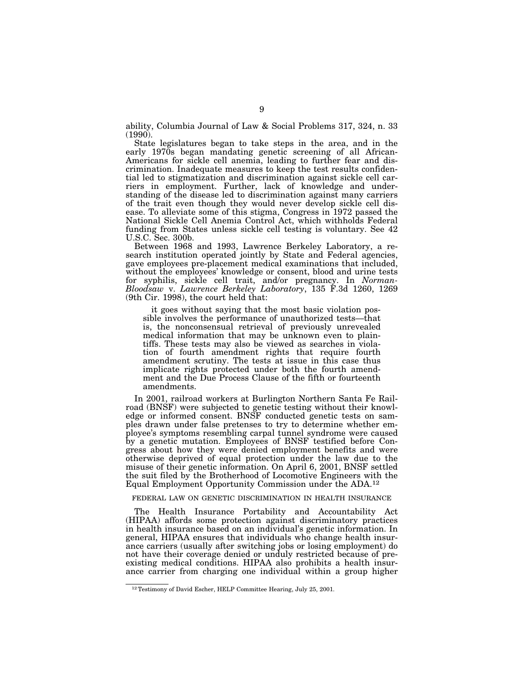ability, Columbia Journal of Law & Social Problems 317, 324, n. 33 (1990).

State legislatures began to take steps in the area, and in the early 1970s began mandating genetic screening of all African-Americans for sickle cell anemia, leading to further fear and discrimination. Inadequate measures to keep the test results confidential led to stigmatization and discrimination against sickle cell carriers in employment. Further, lack of knowledge and understanding of the disease led to discrimination against many carriers of the trait even though they would never develop sickle cell disease. To alleviate some of this stigma, Congress in 1972 passed the National Sickle Cell Anemia Control Act, which withholds Federal funding from States unless sickle cell testing is voluntary. See 42 U.S.C. Sec. 300b.

Between 1968 and 1993, Lawrence Berkeley Laboratory, a research institution operated jointly by State and Federal agencies, gave employees pre-placement medical examinations that included, without the employees' knowledge or consent, blood and urine tests for syphilis, sickle cell trait, and/or pregnancy. In *Norman-Bloodsaw* v. *Lawrence Berkeley Laboratory*, 135 F.3d 1260, 1269 (9th Cir. 1998), the court held that:

it goes without saying that the most basic violation possible involves the performance of unauthorized tests—that is, the nonconsensual retrieval of previously unrevealed medical information that may be unknown even to plaintiffs. These tests may also be viewed as searches in violation of fourth amendment rights that require fourth amendment scrutiny. The tests at issue in this case thus implicate rights protected under both the fourth amendment and the Due Process Clause of the fifth or fourteenth amendments.

In 2001, railroad workers at Burlington Northern Santa Fe Railroad (BNSF) were subjected to genetic testing without their knowledge or informed consent. BNSF conducted genetic tests on samples drawn under false pretenses to try to determine whether employee's symptoms resembling carpal tunnel syndrome were caused by a genetic mutation. Employees of BNSF testified before Congress about how they were denied employment benefits and were otherwise deprived of equal protection under the law due to the misuse of their genetic information. On April 6, 2001, BNSF settled the suit filed by the Brotherhood of Locomotive Engineers with the Equal Employment Opportunity Commission under the ADA.12

FEDERAL LAW ON GENETIC DISCRIMINATION IN HEALTH INSURANCE

The Health Insurance Portability and Accountability Act (HIPAA) affords some protection against discriminatory practices in health insurance based on an individual's genetic information. In general, HIPAA ensures that individuals who change health insurance carriers (usually after switching jobs or losing employment) do not have their coverage denied or unduly restricted because of preexisting medical conditions. HIPAA also prohibits a health insurance carrier from charging one individual within a group higher

<sup>12</sup>Testimony of David Escher, HELP Committee Hearing, July 25, 2001.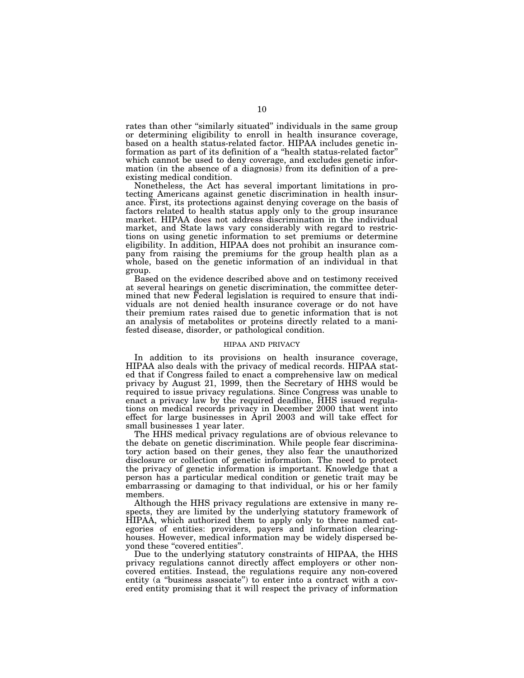rates than other "similarly situated" individuals in the same group or determining eligibility to enroll in health insurance coverage, based on a health status-related factor. HIPAA includes genetic inwhich cannot be used to deny coverage, and excludes genetic information (in the absence of a diagnosis) from its definition of a preexisting medical condition.

Nonetheless, the Act has several important limitations in protecting Americans against genetic discrimination in health insurance. First, its protections against denying coverage on the basis of factors related to health status apply only to the group insurance market. HIPAA does not address discrimination in the individual market, and State laws vary considerably with regard to restrictions on using genetic information to set premiums or determine eligibility. In addition, HIPAA does not prohibit an insurance company from raising the premiums for the group health plan as a whole, based on the genetic information of an individual in that group.

Based on the evidence described above and on testimony received at several hearings on genetic discrimination, the committee determined that new Federal legislation is required to ensure that individuals are not denied health insurance coverage or do not have their premium rates raised due to genetic information that is not an analysis of metabolites or proteins directly related to a manifested disease, disorder, or pathological condition.

## HIPAA AND PRIVACY

In addition to its provisions on health insurance coverage, HIPAA also deals with the privacy of medical records. HIPAA stated that if Congress failed to enact a comprehensive law on medical privacy by August 21, 1999, then the Secretary of HHS would be required to issue privacy regulations. Since Congress was unable to enact a privacy law by the required deadline, HHS issued regulations on medical records privacy in December 2000 that went into effect for large businesses in April 2003 and will take effect for small businesses 1 year later.

The HHS medical privacy regulations are of obvious relevance to the debate on genetic discrimination. While people fear discriminatory action based on their genes, they also fear the unauthorized disclosure or collection of genetic information. The need to protect the privacy of genetic information is important. Knowledge that a person has a particular medical condition or genetic trait may be embarrassing or damaging to that individual, or his or her family members.

Although the HHS privacy regulations are extensive in many respects, they are limited by the underlying statutory framework of HIPAA, which authorized them to apply only to three named categories of entities: providers, payers and information clearinghouses. However, medical information may be widely dispersed beyond these "covered entities".

Due to the underlying statutory constraints of HIPAA, the HHS privacy regulations cannot directly affect employers or other noncovered entities. Instead, the regulations require any non-covered entity (a "business associate") to enter into a contract with a covered entity promising that it will respect the privacy of information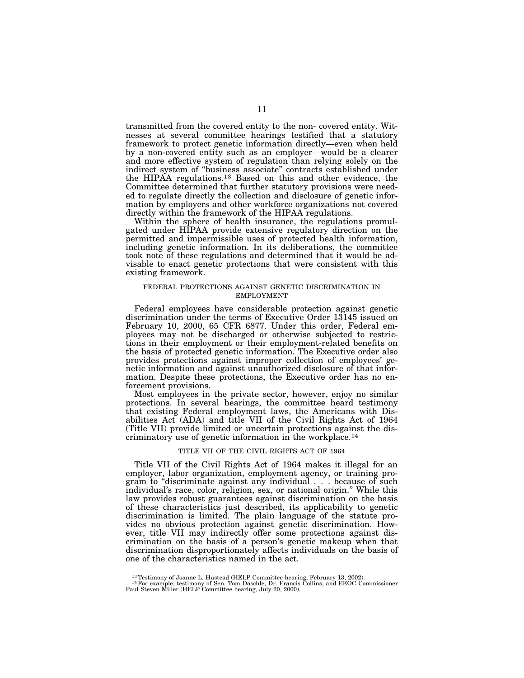transmitted from the covered entity to the non- covered entity. Witnesses at several committee hearings testified that a statutory framework to protect genetic information directly—even when held by a non-covered entity such as an employer—would be a clearer and more effective system of regulation than relying solely on the indirect system of ''business associate'' contracts established under the HIPAA regulations.13 Based on this and other evidence, the Committee determined that further statutory provisions were needed to regulate directly the collection and disclosure of genetic information by employers and other workforce organizations not covered directly within the framework of the HIPAA regulations.

Within the sphere of health insurance, the regulations promulgated under HIPAA provide extensive regulatory direction on the permitted and impermissible uses of protected health information, including genetic information. In its deliberations, the committee took note of these regulations and determined that it would be advisable to enact genetic protections that were consistent with this existing framework.

## FEDERAL PROTECTIONS AGAINST GENETIC DISCRIMINATION IN EMPLOYMENT

Federal employees have considerable protection against genetic discrimination under the terms of Executive Order 13145 issued on February 10, 2000, 65 CFR 6877. Under this order, Federal employees may not be discharged or otherwise subjected to restrictions in their employment or their employment-related benefits on the basis of protected genetic information. The Executive order also provides protections against improper collection of employees' genetic information and against unauthorized disclosure of that information. Despite these protections, the Executive order has no enforcement provisions.

Most employees in the private sector, however, enjoy no similar protections. In several hearings, the committee heard testimony that existing Federal employment laws, the Americans with Disabilities Act (ADA) and title VII of the Civil Rights Act of 1964 (Title VII) provide limited or uncertain protections against the discriminatory use of genetic information in the workplace.14

#### TITLE VII OF THE CIVIL RIGHTS ACT OF 1964

Title VII of the Civil Rights Act of 1964 makes it illegal for an employer, labor organization, employment agency, or training program to "discriminate against any individual . . . because of such individual's race, color, religion, sex, or national origin.'' While this law provides robust guarantees against discrimination on the basis of these characteristics just described, its applicability to genetic discrimination is limited. The plain language of the statute provides no obvious protection against genetic discrimination. However, title VII may indirectly offer some protections against discrimination on the basis of a person's genetic makeup when that discrimination disproportionately affects individuals on the basis of one of the characteristics named in the act.

 $^{13}$  Testimony of Joanne L. Hustead (HELP Committee hearing, February 13, 2002).<br> $^{14}$  For example, testimony of Sen. Tom Daschle, Dr. Francis Collins, and EEOC Commissioner Paul Steven Miller (HELP Committee hearing,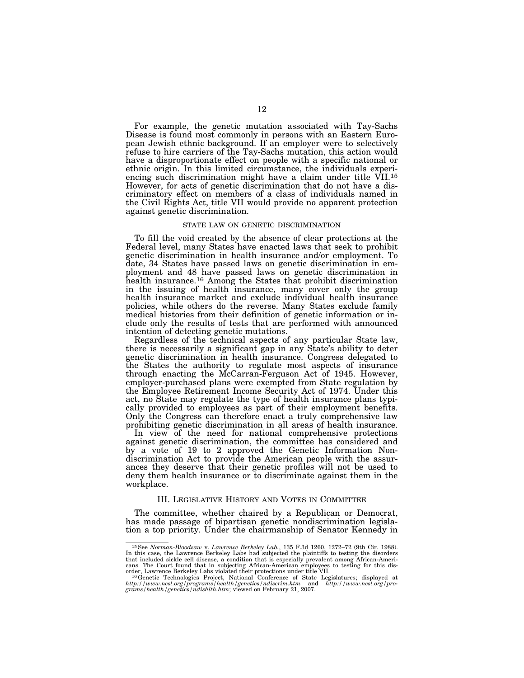For example, the genetic mutation associated with Tay-Sachs Disease is found most commonly in persons with an Eastern European Jewish ethnic background. If an employer were to selectively refuse to hire carriers of the Tay-Sachs mutation, this action would have a disproportionate effect on people with a specific national or ethnic origin. In this limited circumstance, the individuals experiencing such discrimination might have a claim under title VII.15 However, for acts of genetic discrimination that do not have a discriminatory effect on members of a class of individuals named in the Civil Rights Act, title VII would provide no apparent protection against genetic discrimination.

#### STATE LAW ON GENETIC DISCRIMINATION

To fill the void created by the absence of clear protections at the Federal level, many States have enacted laws that seek to prohibit genetic discrimination in health insurance and/or employment. To date, 34 States have passed laws on genetic discrimination in employment and 48 have passed laws on genetic discrimination in health insurance.16 Among the States that prohibit discrimination in the issuing of health insurance, many cover only the group health insurance market and exclude individual health insurance policies, while others do the reverse. Many States exclude family medical histories from their definition of genetic information or include only the results of tests that are performed with announced intention of detecting genetic mutations.

Regardless of the technical aspects of any particular State law, there is necessarily a significant gap in any State's ability to deter genetic discrimination in health insurance. Congress delegated to the States the authority to regulate most aspects of insurance through enacting the McCarran-Ferguson Act of 1945. However, employer-purchased plans were exempted from State regulation by the Employee Retirement Income Security Act of 1974. Under this act, no State may regulate the type of health insurance plans typically provided to employees as part of their employment benefits. Only the Congress can therefore enact a truly comprehensive law prohibiting genetic discrimination in all areas of health insurance.

In view of the need for national comprehensive protections against genetic discrimination, the committee has considered and by a vote of 19 to 2 approved the Genetic Information Nondiscrimination Act to provide the American people with the assurances they deserve that their genetic profiles will not be used to deny them health insurance or to discriminate against them in the workplace.

## III. LEGISLATIVE HISTORY AND VOTES IN COMMITTEE

The committee, whether chaired by a Republican or Democrat, has made passage of bipartisan genetic nondiscrimination legislation a top priority. Under the chairmanship of Senator Kennedy in

<sup>15</sup>See *Norman-Bloodsaw* v. *Lawrence Berkeley Lab.*, 135 F.3d 1260, 1272–72 (9th Cir. 1988). In this case, the Lawrence Berkeley Labs had subjected the plaintiffs to testing the disorders that included sickle cell disease, a condition that is especially prevalent among African-Americans. The Court found that in subjecting African-American employees to testing for this disorder, Lawrence Berkeley Labs viola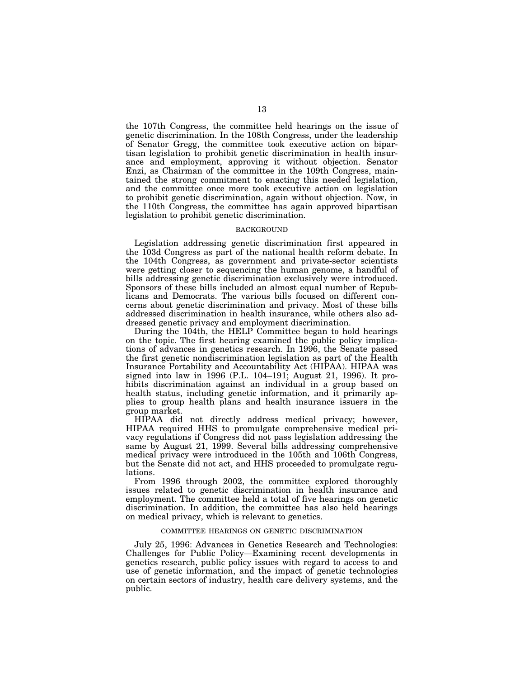the 107th Congress, the committee held hearings on the issue of genetic discrimination. In the 108th Congress, under the leadership of Senator Gregg, the committee took executive action on bipartisan legislation to prohibit genetic discrimination in health insurance and employment, approving it without objection. Senator Enzi, as Chairman of the committee in the 109th Congress, maintained the strong commitment to enacting this needed legislation, and the committee once more took executive action on legislation to prohibit genetic discrimination, again without objection. Now, in the 110th Congress, the committee has again approved bipartisan legislation to prohibit genetic discrimination.

#### BACKGROUND

Legislation addressing genetic discrimination first appeared in the 103d Congress as part of the national health reform debate. In the 104th Congress, as government and private-sector scientists were getting closer to sequencing the human genome, a handful of bills addressing genetic discrimination exclusively were introduced. Sponsors of these bills included an almost equal number of Republicans and Democrats. The various bills focused on different concerns about genetic discrimination and privacy. Most of these bills addressed discrimination in health insurance, while others also addressed genetic privacy and employment discrimination.

During the 104th, the HELP Committee began to hold hearings on the topic. The first hearing examined the public policy implications of advances in genetics research. In 1996, the Senate passed the first genetic nondiscrimination legislation as part of the Health Insurance Portability and Accountability Act (HIPAA). HIPAA was signed into law in 1996 (P.L. 104–191; August 21, 1996). It prohibits discrimination against an individual in a group based on health status, including genetic information, and it primarily applies to group health plans and health insurance issuers in the group market.

HIPAA did not directly address medical privacy; however, HIPAA required HHS to promulgate comprehensive medical privacy regulations if Congress did not pass legislation addressing the same by August 21, 1999. Several bills addressing comprehensive medical privacy were introduced in the 105th and 106th Congress, but the Senate did not act, and HHS proceeded to promulgate regulations.

From 1996 through 2002, the committee explored thoroughly issues related to genetic discrimination in health insurance and employment. The committee held a total of five hearings on genetic discrimination. In addition, the committee has also held hearings on medical privacy, which is relevant to genetics.

### COMMITTEE HEARINGS ON GENETIC DISCRIMINATION

July 25, 1996: Advances in Genetics Research and Technologies: Challenges for Public Policy—Examining recent developments in genetics research, public policy issues with regard to access to and use of genetic information, and the impact of genetic technologies on certain sectors of industry, health care delivery systems, and the public.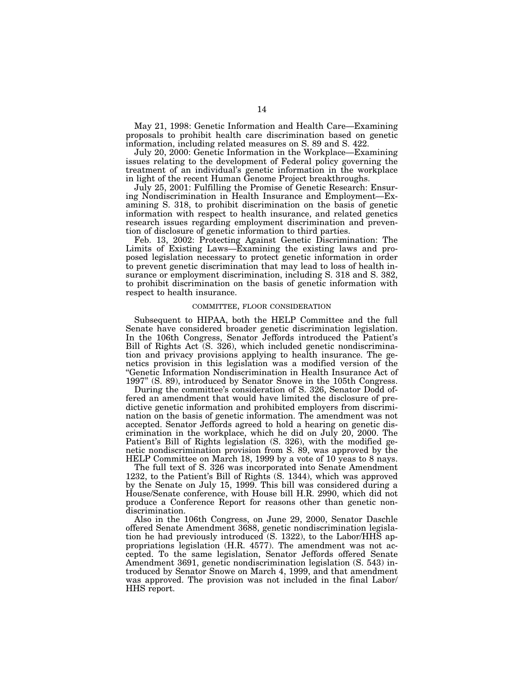May 21, 1998: Genetic Information and Health Care—Examining proposals to prohibit health care discrimination based on genetic information, including related measures on S. 89 and S. 422.

July 20, 2000: Genetic Information in the Workplace—Examining issues relating to the development of Federal policy governing the treatment of an individual's genetic information in the workplace in light of the recent Human Genome Project breakthroughs.

July 25, 2001: Fulfilling the Promise of Genetic Research: Ensuring Nondiscrimination in Health Insurance and Employment—Examining S. 318, to prohibit discrimination on the basis of genetic information with respect to health insurance, and related genetics research issues regarding employment discrimination and prevention of disclosure of genetic information to third parties.

Feb. 13, 2002: Protecting Against Genetic Discrimination: The Limits of Existing Laws—Examining the existing laws and proposed legislation necessary to protect genetic information in order to prevent genetic discrimination that may lead to loss of health insurance or employment discrimination, including S. 318 and S. 382, to prohibit discrimination on the basis of genetic information with respect to health insurance.

## COMMITTEE, FLOOR CONSIDERATION

Subsequent to HIPAA, both the HELP Committee and the full Senate have considered broader genetic discrimination legislation. In the 106th Congress, Senator Jeffords introduced the Patient's Bill of Rights Act (S. 326), which included genetic nondiscrimination and privacy provisions applying to health insurance. The genetics provision in this legislation was a modified version of the ''Genetic Information Nondiscrimination in Health Insurance Act of 1997'' (S. 89), introduced by Senator Snowe in the 105th Congress.

During the committee's consideration of S. 326, Senator Dodd offered an amendment that would have limited the disclosure of predictive genetic information and prohibited employers from discrimination on the basis of genetic information. The amendment was not accepted. Senator Jeffords agreed to hold a hearing on genetic discrimination in the workplace, which he did on July 20, 2000. The Patient's Bill of Rights legislation (S. 326), with the modified genetic nondiscrimination provision from S. 89, was approved by the HELP Committee on March 18, 1999 by a vote of 10 yeas to 8 nays.

The full text of S. 326 was incorporated into Senate Amendment 1232, to the Patient's Bill of Rights (S. 1344), which was approved by the Senate on July 15, 1999. This bill was considered during a House/Senate conference, with House bill H.R. 2990, which did not produce a Conference Report for reasons other than genetic nondiscrimination.

Also in the 106th Congress, on June 29, 2000, Senator Daschle offered Senate Amendment 3688, genetic nondiscrimination legislation he had previously introduced (S. 1322), to the Labor/HHS appropriations legislation (H.R. 4577). The amendment was not accepted. To the same legislation, Senator Jeffords offered Senate Amendment 3691, genetic nondiscrimination legislation (S. 543) introduced by Senator Snowe on March 4, 1999, and that amendment was approved. The provision was not included in the final Labor/ HHS report.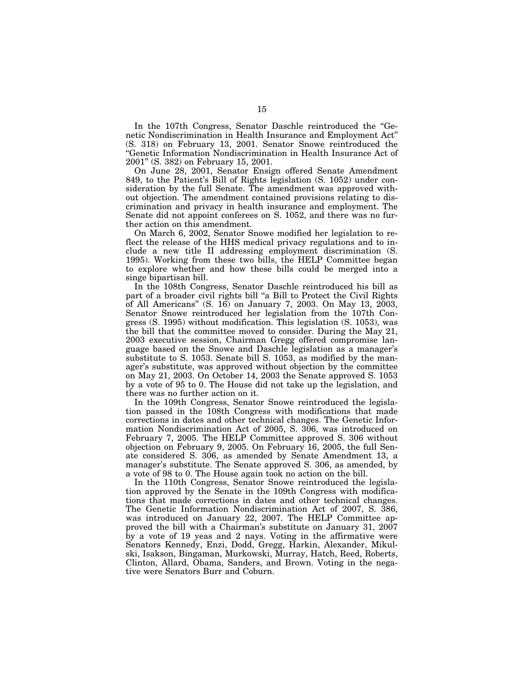In the 107th Congress, Senator Daschle reintroduced the ''Genetic Nondiscrimination in Health Insurance and Employment Act'' (S. 318) on February 13, 2001. Senator Snowe reintroduced the ''Genetic Information Nondiscrimination in Health Insurance Act of 2001'' (S. 382) on February 15, 2001.

On June 28, 2001, Senator Ensign offered Senate Amendment 849, to the Patient's Bill of Rights legislation (S. 1052) under consideration by the full Senate. The amendment was approved without objection. The amendment contained provisions relating to discrimination and privacy in health insurance and employment. The Senate did not appoint conferees on S. 1052, and there was no further action on this amendment.

On March 6, 2002, Senator Snowe modified her legislation to reflect the release of the HHS medical privacy regulations and to include a new title II addressing employment discrimination (S. 1995). Working from these two bills, the HELP Committee began to explore whether and how these bills could be merged into a singe bipartisan bill.

In the 108th Congress, Senator Daschle reintroduced his bill as part of a broader civil rights bill "a Bill to Protect the Civil Rights of All Americans'' (S. 16) on January 7, 2003. On May 13, 2003, Senator Snowe reintroduced her legislation from the 107th Congress (S. 1995) without modification. This legislation (S. 1053), was the bill that the committee moved to consider. During the May 21, 2003 executive session, Chairman Gregg offered compromise language based on the Snowe and Daschle legislation as a manager's substitute to S. 1053. Senate bill S. 1053, as modified by the manager's substitute, was approved without objection by the committee on May 21, 2003. On October 14, 2003 the Senate approved S. 1053 by a vote of 95 to 0. The House did not take up the legislation, and there was no further action on it.

In the 109th Congress, Senator Snowe reintroduced the legislation passed in the 108th Congress with modifications that made corrections in dates and other technical changes. The Genetic Information Nondiscrimination Act of 2005, S. 306, was introduced on February 7, 2005. The HELP Committee approved S. 306 without objection on February 9, 2005. On February 16, 2005, the full Senate considered S. 306, as amended by Senate Amendment 13, a manager's substitute. The Senate approved S. 306, as amended, by a vote of 98 to 0. The House again took no action on the bill.

In the 110th Congress, Senator Snowe reintroduced the legislation approved by the Senate in the 109th Congress with modifications that made corrections in dates and other technical changes. The Genetic Information Nondiscrimination Act of 2007, S. 386, was introduced on January 22, 2007. The HELP Committee approved the bill with a Chairman's substitute on January 31, 2007 by a vote of 19 yeas and 2 nays. Voting in the affirmative were Senators Kennedy, Enzi, Dodd, Gregg, Harkin, Alexander, Mikulski, Isakson, Bingaman, Murkowski, Murray, Hatch, Reed, Roberts, Clinton, Allard, Obama, Sanders, and Brown. Voting in the negative were Senators Burr and Coburn.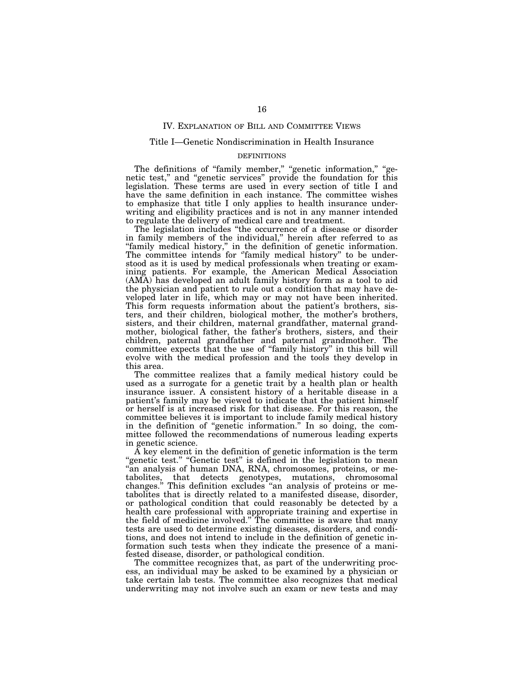### IV. EXPLANATION OF BILL AND COMMITTEE VIEWS

#### Title I—Genetic Nondiscrimination in Health Insurance

#### DEFINITIONS

The definitions of "family member," "genetic information," "genetic test,'' and ''genetic services'' provide the foundation for this legislation. These terms are used in every section of title I and have the same definition in each instance. The committee wishes to emphasize that title I only applies to health insurance underwriting and eligibility practices and is not in any manner intended to regulate the delivery of medical care and treatment.

The legislation includes ''the occurrence of a disease or disorder in family members of the individual,'' herein after referred to as ''family medical history,'' in the definition of genetic information. The committee intends for "family medical history" to be understood as it is used by medical professionals when treating or examining patients. For example, the American Medical Association (AMA) has developed an adult family history form as a tool to aid the physician and patient to rule out a condition that may have developed later in life, which may or may not have been inherited. This form requests information about the patient's brothers, sisters, and their children, biological mother, the mother's brothers, sisters, and their children, maternal grandfather, maternal grandmother, biological father, the father's brothers, sisters, and their children, paternal grandfather and paternal grandmother. The committee expects that the use of ''family history'' in this bill will evolve with the medical profession and the tools they develop in this area.

The committee realizes that a family medical history could be used as a surrogate for a genetic trait by a health plan or health insurance issuer. A consistent history of a heritable disease in a patient's family may be viewed to indicate that the patient himself or herself is at increased risk for that disease. For this reason, the committee believes it is important to include family medical history in the definition of ''genetic information.'' In so doing, the committee followed the recommendations of numerous leading experts in genetic science.

A key element in the definition of genetic information is the term "genetic test." "Genetic test" is defined in the legislation to mean ''an analysis of human DNA, RNA, chromosomes, proteins, or metabolites, that detects genotypes, mutations, chromosomal changes.'' This definition excludes ''an analysis of proteins or metabolites that is directly related to a manifested disease, disorder, or pathological condition that could reasonably be detected by a health care professional with appropriate training and expertise in the field of medicine involved.'' The committee is aware that many tests are used to determine existing diseases, disorders, and conditions, and does not intend to include in the definition of genetic information such tests when they indicate the presence of a manifested disease, disorder, or pathological condition.

The committee recognizes that, as part of the underwriting process, an individual may be asked to be examined by a physician or take certain lab tests. The committee also recognizes that medical underwriting may not involve such an exam or new tests and may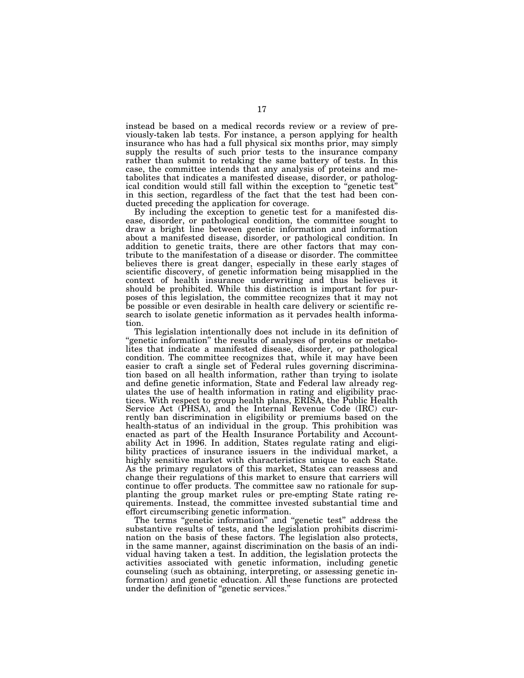instead be based on a medical records review or a review of previously-taken lab tests. For instance, a person applying for health insurance who has had a full physical six months prior, may simply supply the results of such prior tests to the insurance company rather than submit to retaking the same battery of tests. In this case, the committee intends that any analysis of proteins and metabolites that indicates a manifested disease, disorder, or pathologin this section, regardless of the fact that the test had been conducted preceding the application for coverage.

By including the exception to genetic test for a manifested disease, disorder, or pathological condition, the committee sought to draw a bright line between genetic information and information about a manifested disease, disorder, or pathological condition. In addition to genetic traits, there are other factors that may contribute to the manifestation of a disease or disorder. The committee believes there is great danger, especially in these early stages of scientific discovery, of genetic information being misapplied in the context of health insurance underwriting and thus believes it should be prohibited. While this distinction is important for purposes of this legislation, the committee recognizes that it may not be possible or even desirable in health care delivery or scientific research to isolate genetic information as it pervades health information.

This legislation intentionally does not include in its definition of "genetic information" the results of analyses of proteins or metabolites that indicate a manifested disease, disorder, or pathological condition. The committee recognizes that, while it may have been easier to craft a single set of Federal rules governing discrimination based on all health information, rather than trying to isolate and define genetic information, State and Federal law already regulates the use of health information in rating and eligibility practices. With respect to group health plans, ERISA, the Public Health Service Act (PHSA), and the Internal Revenue Code (IRC) currently ban discrimination in eligibility or premiums based on the health-status of an individual in the group. This prohibition was enacted as part of the Health Insurance Portability and Accountability Act in 1996. In addition, States regulate rating and eligibility practices of insurance issuers in the individual market, a highly sensitive market with characteristics unique to each State. As the primary regulators of this market, States can reassess and change their regulations of this market to ensure that carriers will continue to offer products. The committee saw no rationale for supplanting the group market rules or pre-empting State rating requirements. Instead, the committee invested substantial time and effort circumscribing genetic information.

The terms ''genetic information'' and ''genetic test'' address the substantive results of tests, and the legislation prohibits discrimination on the basis of these factors. The legislation also protects, in the same manner, against discrimination on the basis of an individual having taken a test. In addition, the legislation protects the activities associated with genetic information, including genetic counseling (such as obtaining, interpreting, or assessing genetic information) and genetic education. All these functions are protected under the definition of ''genetic services.''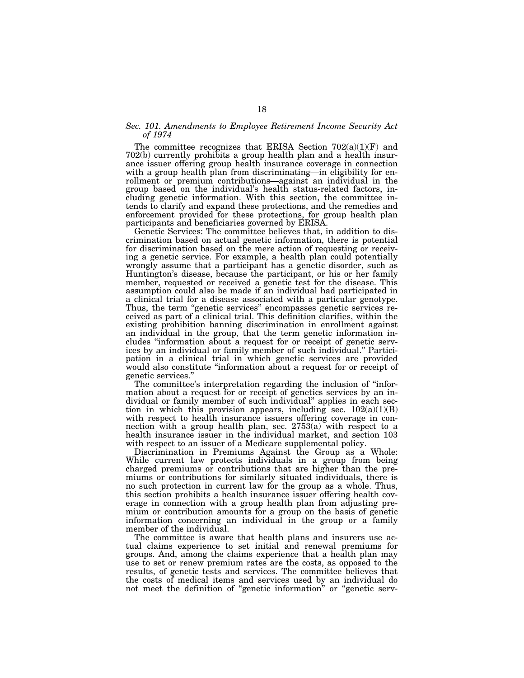## *Sec. 101. Amendments to Employee Retirement Income Security Act of 1974*

The committee recognizes that ERISA Section  $702(a)(1)(F)$  and 702(b) currently prohibits a group health plan and a health insurance issuer offering group health insurance coverage in connection with a group health plan from discriminating—in eligibility for enrollment or premium contributions—against an individual in the group based on the individual's health status-related factors, including genetic information. With this section, the committee intends to clarify and expand these protections, and the remedies and enforcement provided for these protections, for group health plan participants and beneficiaries governed by ERISA.

Genetic Services: The committee believes that, in addition to discrimination based on actual genetic information, there is potential for discrimination based on the mere action of requesting or receiving a genetic service. For example, a health plan could potentially wrongly assume that a participant has a genetic disorder, such as Huntington's disease, because the participant, or his or her family member, requested or received a genetic test for the disease. This assumption could also be made if an individual had participated in a clinical trial for a disease associated with a particular genotype. Thus, the term "genetic services" encompasses genetic services received as part of a clinical trial. This definition clarifies, within the existing prohibition banning discrimination in enrollment against an individual in the group, that the term genetic information includes ''information about a request for or receipt of genetic services by an individual or family member of such individual.'' Participation in a clinical trial in which genetic services are provided would also constitute "information about a request for or receipt of genetic services."

The committee's interpretation regarding the inclusion of "information about a request for or receipt of genetics services by an individual or family member of such individual'' applies in each section in which this provision appears, including sec.  $102(a)(1)(B)$ with respect to health insurance issuers offering coverage in connection with a group health plan, sec. 2753(a) with respect to a health insurance issuer in the individual market, and section 103 with respect to an issuer of a Medicare supplemental policy.

Discrimination in Premiums Against the Group as a Whole: While current law protects individuals in a group from being charged premiums or contributions that are higher than the premiums or contributions for similarly situated individuals, there is no such protection in current law for the group as a whole. Thus, this section prohibits a health insurance issuer offering health coverage in connection with a group health plan from adjusting premium or contribution amounts for a group on the basis of genetic information concerning an individual in the group or a family member of the individual.

The committee is aware that health plans and insurers use actual claims experience to set initial and renewal premiums for groups. And, among the claims experience that a health plan may use to set or renew premium rates are the costs, as opposed to the results, of genetic tests and services. The committee believes that the costs of medical items and services used by an individual do not meet the definition of ''genetic information'' or ''genetic serv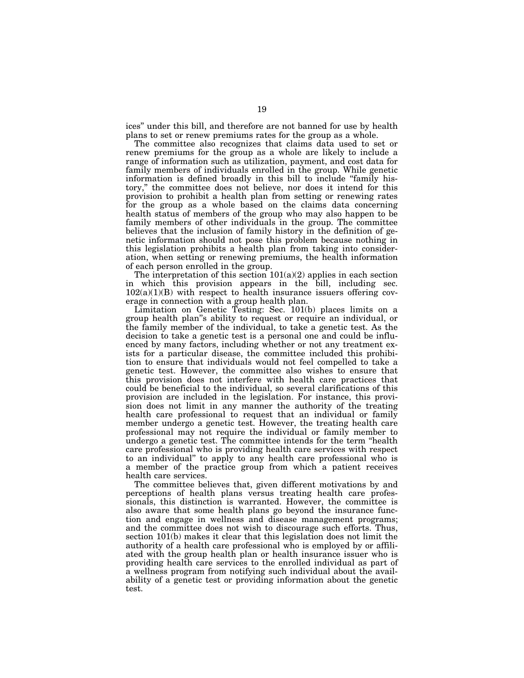ices'' under this bill, and therefore are not banned for use by health plans to set or renew premiums rates for the group as a whole.

The committee also recognizes that claims data used to set or renew premiums for the group as a whole are likely to include a range of information such as utilization, payment, and cost data for family members of individuals enrolled in the group. While genetic information is defined broadly in this bill to include ''family history,'' the committee does not believe, nor does it intend for this provision to prohibit a health plan from setting or renewing rates for the group as a whole based on the claims data concerning health status of members of the group who may also happen to be family members of other individuals in the group. The committee believes that the inclusion of family history in the definition of genetic information should not pose this problem because nothing in this legislation prohibits a health plan from taking into consideration, when setting or renewing premiums, the health information of each person enrolled in the group.

The interpretation of this section  $101(a)(2)$  applies in each section in which this provision appears in the bill, including sec.  $102(a)(1)(B)$  with respect to health insurance issuers offering coverage in connection with a group health plan.

Limitation on Genetic Testing: Sec. 101(b) places limits on a group health plan''s ability to request or require an individual, or the family member of the individual, to take a genetic test. As the decision to take a genetic test is a personal one and could be influenced by many factors, including whether or not any treatment exists for a particular disease, the committee included this prohibition to ensure that individuals would not feel compelled to take a genetic test. However, the committee also wishes to ensure that this provision does not interfere with health care practices that could be beneficial to the individual, so several clarifications of this provision are included in the legislation. For instance, this provision does not limit in any manner the authority of the treating health care professional to request that an individual or family member undergo a genetic test. However, the treating health care professional may not require the individual or family member to undergo a genetic test. The committee intends for the term ''health care professional who is providing health care services with respect to an individual'' to apply to any health care professional who is a member of the practice group from which a patient receives health care services.

The committee believes that, given different motivations by and perceptions of health plans versus treating health care professionals, this distinction is warranted. However, the committee is also aware that some health plans go beyond the insurance function and engage in wellness and disease management programs; and the committee does not wish to discourage such efforts. Thus, section 101(b) makes it clear that this legislation does not limit the authority of a health care professional who is employed by or affiliated with the group health plan or health insurance issuer who is providing health care services to the enrolled individual as part of a wellness program from notifying such individual about the availability of a genetic test or providing information about the genetic test.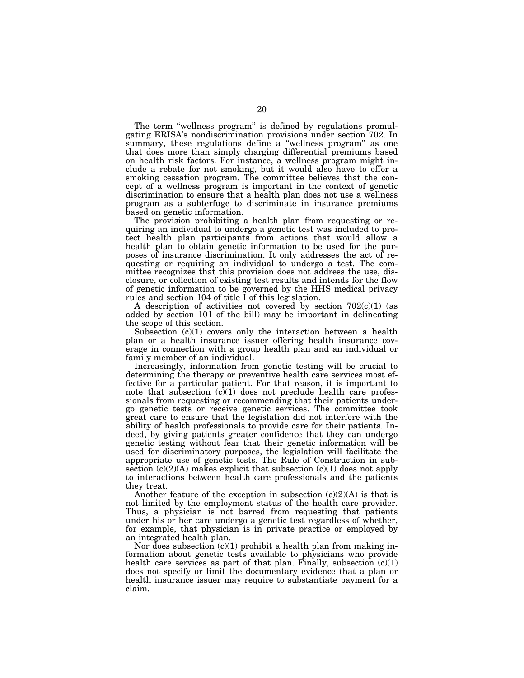The term "wellness program" is defined by regulations promulgating ERISA's nondiscrimination provisions under section 702. In summary, these regulations define a ''wellness program'' as one that does more than simply charging differential premiums based on health risk factors. For instance, a wellness program might include a rebate for not smoking, but it would also have to offer a smoking cessation program. The committee believes that the concept of a wellness program is important in the context of genetic discrimination to ensure that a health plan does not use a wellness program as a subterfuge to discriminate in insurance premiums based on genetic information.

The provision prohibiting a health plan from requesting or requiring an individual to undergo a genetic test was included to protect health plan participants from actions that would allow a health plan to obtain genetic information to be used for the purposes of insurance discrimination. It only addresses the act of requesting or requiring an individual to undergo a test. The committee recognizes that this provision does not address the use, disclosure, or collection of existing test results and intends for the flow of genetic information to be governed by the HHS medical privacy rules and section 104 of title I of this legislation.

A description of activities not covered by section  $702(c)(1)$  (as added by section 101 of the bill) may be important in delineating the scope of this section.

Subsection  $(c)(1)$  covers only the interaction between a health plan or a health insurance issuer offering health insurance coverage in connection with a group health plan and an individual or family member of an individual.

Increasingly, information from genetic testing will be crucial to determining the therapy or preventive health care services most effective for a particular patient. For that reason, it is important to note that subsection  $(c)(1)$  does not preclude health care professionals from requesting or recommending that their patients undergo genetic tests or receive genetic services. The committee took great care to ensure that the legislation did not interfere with the ability of health professionals to provide care for their patients. Indeed, by giving patients greater confidence that they can undergo genetic testing without fear that their genetic information will be used for discriminatory purposes, the legislation will facilitate the appropriate use of genetic tests. The Rule of Construction in subsection  $(c)(2)(A)$  makes explicit that subsection  $(c)(1)$  does not apply to interactions between health care professionals and the patients they treat.

Another feature of the exception in subsection  $(c)(2)(A)$  is that is not limited by the employment status of the health care provider. Thus, a physician is not barred from requesting that patients under his or her care undergo a genetic test regardless of whether, for example, that physician is in private practice or employed by an integrated health plan.

Nor does subsection  $(c)(1)$  prohibit a health plan from making information about genetic tests available to physicians who provide health care services as part of that plan. Finally, subsection (c)(1) does not specify or limit the documentary evidence that a plan or health insurance issuer may require to substantiate payment for a claim.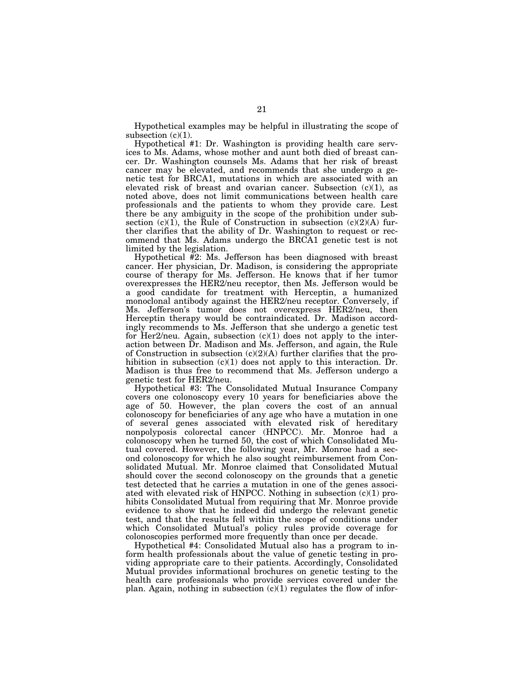Hypothetical examples may be helpful in illustrating the scope of subsection  $(c)(1)$ .

Hypothetical #1: Dr. Washington is providing health care services to Ms. Adams, whose mother and aunt both died of breast cancer. Dr. Washington counsels Ms. Adams that her risk of breast cancer may be elevated, and recommends that she undergo a genetic test for BRCA1, mutations in which are associated with an elevated risk of breast and ovarian cancer. Subsection  $(c)(1)$ , as noted above, does not limit communications between health care professionals and the patients to whom they provide care. Lest there be any ambiguity in the scope of the prohibition under subsection (c)(1), the Rule of Construction in subsection (c)(2)(A) further clarifies that the ability of Dr. Washington to request or recommend that Ms. Adams undergo the BRCA1 genetic test is not limited by the legislation.

Hypothetical #2: Ms. Jefferson has been diagnosed with breast cancer. Her physician, Dr. Madison, is considering the appropriate course of therapy for Ms. Jefferson. He knows that if her tumor overexpresses the HER2/neu receptor, then Ms. Jefferson would be a good candidate for treatment with Herceptin, a humanized monoclonal antibody against the HER2/neu receptor. Conversely, if Ms. Jefferson's tumor does not overexpress HER2/neu, then Herceptin therapy would be contraindicated. Dr. Madison accordingly recommends to Ms. Jefferson that she undergo a genetic test for Her2/neu. Again, subsection (c)(1) does not apply to the interaction between Dr. Madison and Ms. Jefferson, and again, the Rule of Construction in subsection  $(c)(2)(A)$  further clarifies that the prohibition in subsection  $(c)(1)$  does not apply to this interaction. Dr. Madison is thus free to recommend that Ms. Jefferson undergo a genetic test for HER2/neu.

Hypothetical #3: The Consolidated Mutual Insurance Company covers one colonoscopy every 10 years for beneficiaries above the age of 50. However, the plan covers the cost of an annual colonoscopy for beneficiaries of any age who have a mutation in one of several genes associated with elevated risk of hereditary nonpolyposis colorectal cancer (HNPCC). Mr. Monroe had a colonoscopy when he turned 50, the cost of which Consolidated Mutual covered. However, the following year, Mr. Monroe had a second colonoscopy for which he also sought reimbursement from Consolidated Mutual. Mr. Monroe claimed that Consolidated Mutual should cover the second colonoscopy on the grounds that a genetic test detected that he carries a mutation in one of the genes associated with elevated risk of HNPCC. Nothing in subsection (c)(1) prohibits Consolidated Mutual from requiring that Mr. Monroe provide evidence to show that he indeed did undergo the relevant genetic test, and that the results fell within the scope of conditions under which Consolidated Mutual's policy rules provide coverage for colonoscopies performed more frequently than once per decade.

Hypothetical #4: Consolidated Mutual also has a program to inform health professionals about the value of genetic testing in providing appropriate care to their patients. Accordingly, Consolidated Mutual provides informational brochures on genetic testing to the health care professionals who provide services covered under the plan. Again, nothing in subsection  $(c)(1)$  regulates the flow of infor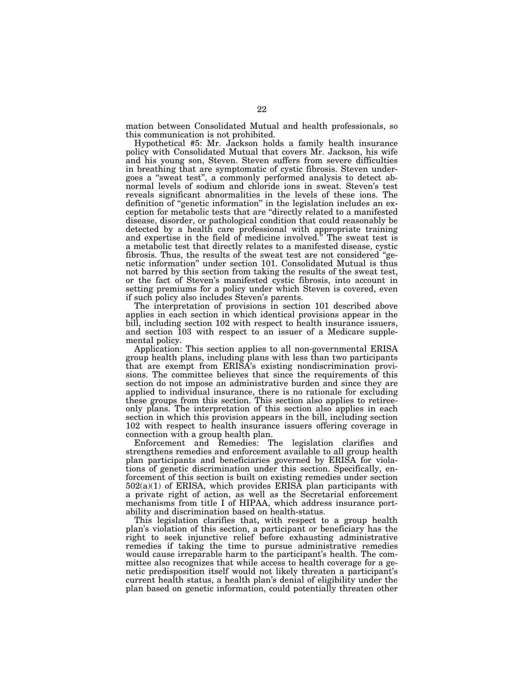mation between Consolidated Mutual and health professionals, so this communication is not prohibited.

Hypothetical #5: Mr. Jackson holds a family health insurance policy with Consolidated Mutual that covers Mr. Jackson, his wife and his young son, Steven. Steven suffers from severe difficulties in breathing that are symptomatic of cystic fibrosis. Steven undergoes a ''sweat test'', a commonly performed analysis to detect abnormal levels of sodium and chloride ions in sweat. Steven's test reveals significant abnormalities in the levels of these ions. The definition of ''genetic information'' in the legislation includes an exception for metabolic tests that are ''directly related to a manifested disease, disorder, or pathological condition that could reasonably be detected by a health care professional with appropriate training and expertise in the field of medicine involved.'' The sweat test is a metabolic test that directly relates to a manifested disease, cystic fibrosis. Thus, the results of the sweat test are not considered ''genetic information'' under section 101. Consolidated Mutual is thus not barred by this section from taking the results of the sweat test, or the fact of Steven's manifested cystic fibrosis, into account in setting premiums for a policy under which Steven is covered, even if such policy also includes Steven's parents.

The interpretation of provisions in section 101 described above applies in each section in which identical provisions appear in the bill, including section 102 with respect to health insurance issuers, and section 103 with respect to an issuer of a Medicare supplemental policy.

Application: This section applies to all non-governmental ERISA group health plans, including plans with less than two participants that are exempt from ERISA's existing nondiscrimination provisions. The committee believes that since the requirements of this section do not impose an administrative burden and since they are applied to individual insurance, there is no rationale for excluding these groups from this section. This section also applies to retireeonly plans. The interpretation of this section also applies in each section in which this provision appears in the bill, including section 102 with respect to health insurance issuers offering coverage in connection with a group health plan.

Enforcement and Remedies: The legislation clarifies and strengthens remedies and enforcement available to all group health plan participants and beneficiaries governed by ERISA for violations of genetic discrimination under this section. Specifically, enforcement of this section is built on existing remedies under section  $502(a)(1)$  of ERISA, which provides ERISA plan participants with a private right of action, as well as the Secretarial enforcement mechanisms from title I of HIPAA, which address insurance portability and discrimination based on health-status.

This legislation clarifies that, with respect to a group health plan's violation of this section, a participant or beneficiary has the right to seek injunctive relief before exhausting administrative remedies if taking the time to pursue administrative remedies would cause irreparable harm to the participant's health. The committee also recognizes that while access to health coverage for a genetic predisposition itself would not likely threaten a participant's current health status, a health plan's denial of eligibility under the plan based on genetic information, could potentially threaten other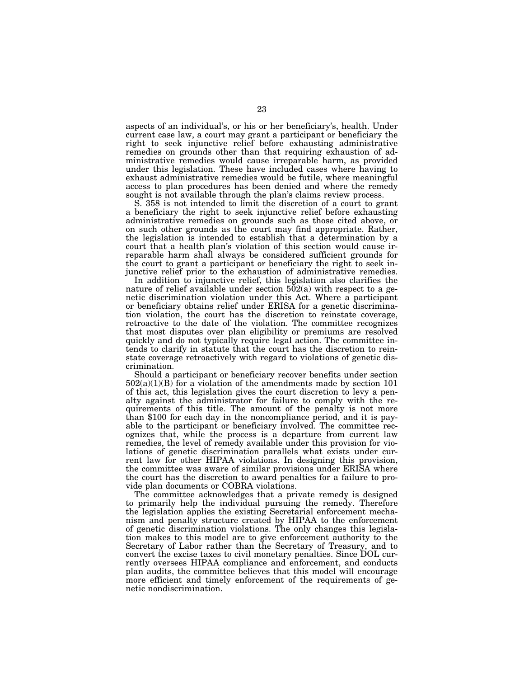aspects of an individual's, or his or her beneficiary's, health. Under current case law, a court may grant a participant or beneficiary the right to seek injunctive relief before exhausting administrative remedies on grounds other than that requiring exhaustion of administrative remedies would cause irreparable harm, as provided under this legislation. These have included cases where having to exhaust administrative remedies would be futile, where meaningful access to plan procedures has been denied and where the remedy sought is not available through the plan's claims review process.

S. 358 is not intended to limit the discretion of a court to grant a beneficiary the right to seek injunctive relief before exhausting administrative remedies on grounds such as those cited above, or on such other grounds as the court may find appropriate. Rather, the legislation is intended to establish that a determination by a court that a health plan's violation of this section would cause irreparable harm shall always be considered sufficient grounds for the court to grant a participant or beneficiary the right to seek injunctive relief prior to the exhaustion of administrative remedies.

In addition to injunctive relief, this legislation also clarifies the nature of relief available under section  $502(a)$  with respect to a genetic discrimination violation under this Act. Where a participant or beneficiary obtains relief under ERISA for a genetic discrimination violation, the court has the discretion to reinstate coverage, retroactive to the date of the violation. The committee recognizes that most disputes over plan eligibility or premiums are resolved quickly and do not typically require legal action. The committee intends to clarify in statute that the court has the discretion to reinstate coverage retroactively with regard to violations of genetic discrimination.

Should a participant or beneficiary recover benefits under section  $502(a)(1)(B)$  for a violation of the amendments made by section 101 of this act, this legislation gives the court discretion to levy a penalty against the administrator for failure to comply with the requirements of this title. The amount of the penalty is not more than \$100 for each day in the noncompliance period, and it is payable to the participant or beneficiary involved. The committee recognizes that, while the process is a departure from current law remedies, the level of remedy available under this provision for violations of genetic discrimination parallels what exists under current law for other HIPAA violations. In designing this provision, the committee was aware of similar provisions under ERISA where the court has the discretion to award penalties for a failure to provide plan documents or COBRA violations.

The committee acknowledges that a private remedy is designed to primarily help the individual pursuing the remedy. Therefore the legislation applies the existing Secretarial enforcement mechanism and penalty structure created by HIPAA to the enforcement of genetic discrimination violations. The only changes this legislation makes to this model are to give enforcement authority to the Secretary of Labor rather than the Secretary of Treasury, and to convert the excise taxes to civil monetary penalties. Since DOL currently oversees HIPAA compliance and enforcement, and conducts plan audits, the committee believes that this model will encourage more efficient and timely enforcement of the requirements of genetic nondiscrimination.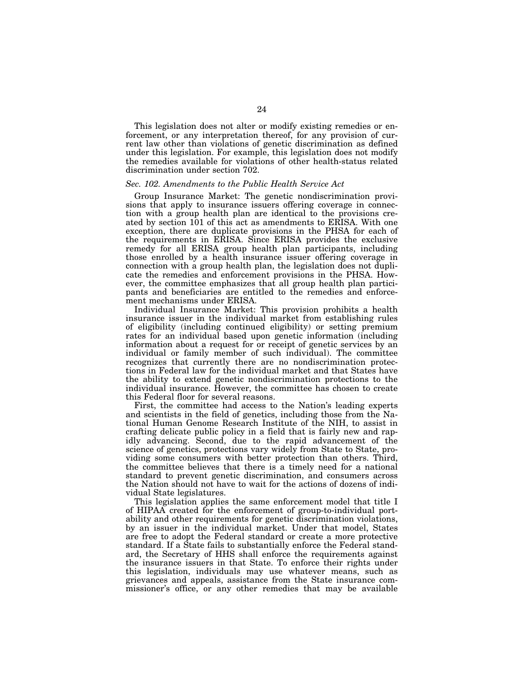This legislation does not alter or modify existing remedies or enforcement, or any interpretation thereof, for any provision of current law other than violations of genetic discrimination as defined under this legislation. For example, this legislation does not modify the remedies available for violations of other health-status related discrimination under section 702.

## *Sec. 102. Amendments to the Public Health Service Act*

Group Insurance Market: The genetic nondiscrimination provisions that apply to insurance issuers offering coverage in connection with a group health plan are identical to the provisions created by section 101 of this act as amendments to ERISA. With one exception, there are duplicate provisions in the PHSA for each of the requirements in ERISA. Since ERISA provides the exclusive remedy for all ERISA group health plan participants, including those enrolled by a health insurance issuer offering coverage in connection with a group health plan, the legislation does not duplicate the remedies and enforcement provisions in the PHSA. However, the committee emphasizes that all group health plan participants and beneficiaries are entitled to the remedies and enforcement mechanisms under ERISA.

Individual Insurance Market: This provision prohibits a health insurance issuer in the individual market from establishing rules of eligibility (including continued eligibility) or setting premium rates for an individual based upon genetic information (including information about a request for or receipt of genetic services by an individual or family member of such individual). The committee recognizes that currently there are no nondiscrimination protections in Federal law for the individual market and that States have the ability to extend genetic nondiscrimination protections to the individual insurance. However, the committee has chosen to create this Federal floor for several reasons.

First, the committee had access to the Nation's leading experts and scientists in the field of genetics, including those from the National Human Genome Research Institute of the NIH, to assist in crafting delicate public policy in a field that is fairly new and rapidly advancing. Second, due to the rapid advancement of the science of genetics, protections vary widely from State to State, providing some consumers with better protection than others. Third, the committee believes that there is a timely need for a national standard to prevent genetic discrimination, and consumers across the Nation should not have to wait for the actions of dozens of individual State legislatures.

This legislation applies the same enforcement model that title I of HIPAA created for the enforcement of group-to-individual portability and other requirements for genetic discrimination violations, by an issuer in the individual market. Under that model, States are free to adopt the Federal standard or create a more protective standard. If a State fails to substantially enforce the Federal standard, the Secretary of HHS shall enforce the requirements against the insurance issuers in that State. To enforce their rights under this legislation, individuals may use whatever means, such as grievances and appeals, assistance from the State insurance commissioner's office, or any other remedies that may be available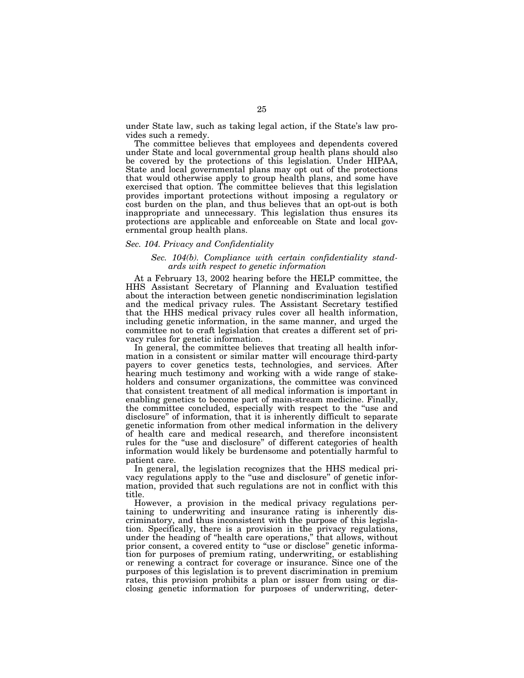under State law, such as taking legal action, if the State's law provides such a remedy.

The committee believes that employees and dependents covered under State and local governmental group health plans should also be covered by the protections of this legislation. Under HIPAA, State and local governmental plans may opt out of the protections that would otherwise apply to group health plans, and some have exercised that option. The committee believes that this legislation provides important protections without imposing a regulatory or cost burden on the plan, and thus believes that an opt-out is both inappropriate and unnecessary. This legislation thus ensures its protections are applicable and enforceable on State and local governmental group health plans.

#### *Sec. 104. Privacy and Confidentiality*

## *Sec. 104(b). Compliance with certain confidentiality standards with respect to genetic information*

At a February 13, 2002 hearing before the HELP committee, the HHS Assistant Secretary of Planning and Evaluation testified about the interaction between genetic nondiscrimination legislation and the medical privacy rules. The Assistant Secretary testified that the HHS medical privacy rules cover all health information, including genetic information, in the same manner, and urged the committee not to craft legislation that creates a different set of privacy rules for genetic information.

In general, the committee believes that treating all health information in a consistent or similar matter will encourage third-party payers to cover genetics tests, technologies, and services. After hearing much testimony and working with a wide range of stakeholders and consumer organizations, the committee was convinced that consistent treatment of all medical information is important in enabling genetics to become part of main-stream medicine. Finally, the committee concluded, especially with respect to the ''use and disclosure'' of information, that it is inherently difficult to separate genetic information from other medical information in the delivery of health care and medical research, and therefore inconsistent rules for the ''use and disclosure'' of different categories of health information would likely be burdensome and potentially harmful to patient care.

In general, the legislation recognizes that the HHS medical privacy regulations apply to the ''use and disclosure'' of genetic information, provided that such regulations are not in conflict with this title.

However, a provision in the medical privacy regulations pertaining to underwriting and insurance rating is inherently discriminatory, and thus inconsistent with the purpose of this legislation. Specifically, there is a provision in the privacy regulations, under the heading of ''health care operations,'' that allows, without prior consent, a covered entity to ''use or disclose'' genetic information for purposes of premium rating, underwriting, or establishing or renewing a contract for coverage or insurance. Since one of the purposes of this legislation is to prevent discrimination in premium rates, this provision prohibits a plan or issuer from using or disclosing genetic information for purposes of underwriting, deter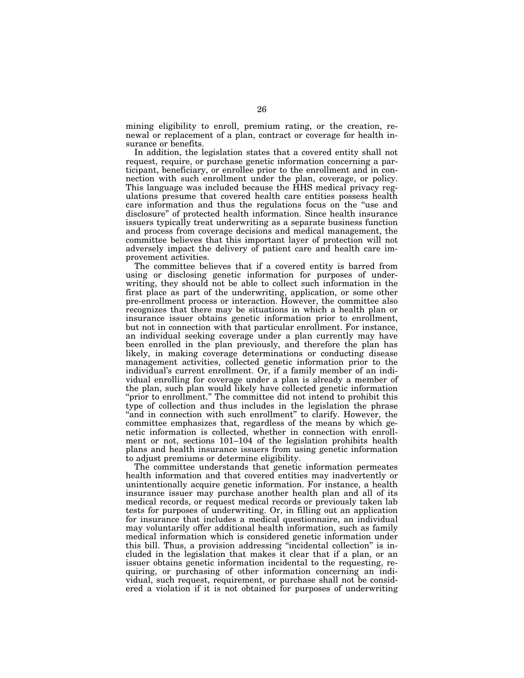mining eligibility to enroll, premium rating, or the creation, renewal or replacement of a plan, contract or coverage for health insurance or benefits.

In addition, the legislation states that a covered entity shall not request, require, or purchase genetic information concerning a participant, beneficiary, or enrollee prior to the enrollment and in connection with such enrollment under the plan, coverage, or policy. This language was included because the HHS medical privacy regulations presume that covered health care entities possess health care information and thus the regulations focus on the ''use and disclosure'' of protected health information. Since health insurance issuers typically treat underwriting as a separate business function and process from coverage decisions and medical management, the committee believes that this important layer of protection will not adversely impact the delivery of patient care and health care improvement activities.

The committee believes that if a covered entity is barred from using or disclosing genetic information for purposes of underwriting, they should not be able to collect such information in the first place as part of the underwriting, application, or some other pre-enrollment process or interaction. However, the committee also recognizes that there may be situations in which a health plan or insurance issuer obtains genetic information prior to enrollment, but not in connection with that particular enrollment. For instance, an individual seeking coverage under a plan currently may have been enrolled in the plan previously, and therefore the plan has likely, in making coverage determinations or conducting disease management activities, collected genetic information prior to the individual's current enrollment. Or, if a family member of an individual enrolling for coverage under a plan is already a member of the plan, such plan would likely have collected genetic information "prior to enrollment." The committee did not intend to prohibit this type of collection and thus includes in the legislation the phrase "and in connection with such enrollment" to clarify. However, the committee emphasizes that, regardless of the means by which genetic information is collected, whether in connection with enrollment or not, sections 101–104 of the legislation prohibits health plans and health insurance issuers from using genetic information to adjust premiums or determine eligibility.

The committee understands that genetic information permeates health information and that covered entities may inadvertently or unintentionally acquire genetic information. For instance, a health insurance issuer may purchase another health plan and all of its medical records, or request medical records or previously taken lab tests for purposes of underwriting. Or, in filling out an application for insurance that includes a medical questionnaire, an individual may voluntarily offer additional health information, such as family medical information which is considered genetic information under this bill. Thus, a provision addressing ''incidental collection'' is included in the legislation that makes it clear that if a plan, or an issuer obtains genetic information incidental to the requesting, requiring, or purchasing of other information concerning an individual, such request, requirement, or purchase shall not be considered a violation if it is not obtained for purposes of underwriting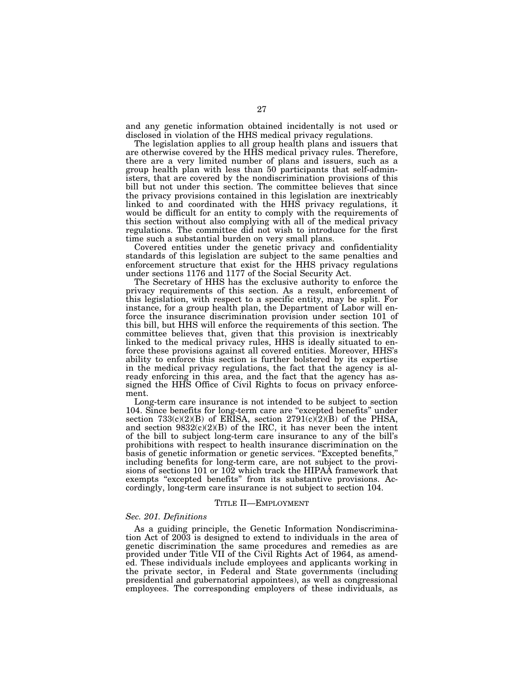and any genetic information obtained incidentally is not used or disclosed in violation of the HHS medical privacy regulations.

The legislation applies to all group health plans and issuers that are otherwise covered by the HHS medical privacy rules. Therefore, there are a very limited number of plans and issuers, such as a group health plan with less than 50 participants that self-administers, that are covered by the nondiscrimination provisions of this bill but not under this section. The committee believes that since the privacy provisions contained in this legislation are inextricably linked to and coordinated with the HHS privacy regulations, it would be difficult for an entity to comply with the requirements of this section without also complying with all of the medical privacy regulations. The committee did not wish to introduce for the first time such a substantial burden on very small plans.

Covered entities under the genetic privacy and confidentiality standards of this legislation are subject to the same penalties and enforcement structure that exist for the HHS privacy regulations under sections 1176 and 1177 of the Social Security Act.

The Secretary of HHS has the exclusive authority to enforce the privacy requirements of this section. As a result, enforcement of this legislation, with respect to a specific entity, may be split. For instance, for a group health plan, the Department of Labor will enforce the insurance discrimination provision under section 101 of this bill, but HHS will enforce the requirements of this section. The committee believes that, given that this provision is inextricably linked to the medical privacy rules, HHS is ideally situated to enforce these provisions against all covered entities. Moreover, HHS's ability to enforce this section is further bolstered by its expertise in the medical privacy regulations, the fact that the agency is already enforcing in this area, and the fact that the agency has assigned the HHS Office of Civil Rights to focus on privacy enforcement.

Long-term care insurance is not intended to be subject to section 104. Since benefits for long-term care are ''excepted benefits'' under section  $733(c)(2)(B)$  of ERISA, section  $2791(c)(2)(B)$  of the PHSA, and section  $9832(c)(2)(B)$  of the IRC, it has never been the intent of the bill to subject long-term care insurance to any of the bill's prohibitions with respect to health insurance discrimination on the basis of genetic information or genetic services. ''Excepted benefits,'' including benefits for long-term care, are not subject to the provisions of sections 101 or 102 which track the HIPAA framework that exempts "excepted benefits" from its substantive provisions. Accordingly, long-term care insurance is not subject to section 104.

#### TITLE II—EMPLOYMENT

## *Sec. 201. Definitions*

As a guiding principle, the Genetic Information Nondiscrimination Act of 2003 is designed to extend to individuals in the area of genetic discrimination the same procedures and remedies as are provided under Title VII of the Civil Rights Act of 1964, as amended. These individuals include employees and applicants working in the private sector, in Federal and State governments (including presidential and gubernatorial appointees), as well as congressional employees. The corresponding employers of these individuals, as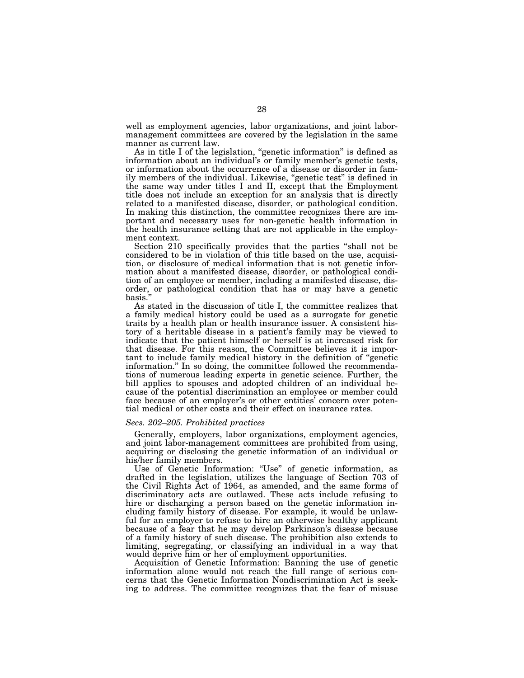well as employment agencies, labor organizations, and joint labormanagement committees are covered by the legislation in the same manner as current law.

As in title I of the legislation, "genetic information" is defined as information about an individual's or family member's genetic tests, or information about the occurrence of a disease or disorder in family members of the individual. Likewise, "genetic test" is defined in the same way under titles I and II, except that the Employment title does not include an exception for an analysis that is directly related to a manifested disease, disorder, or pathological condition. In making this distinction, the committee recognizes there are important and necessary uses for non-genetic health information in the health insurance setting that are not applicable in the employment context.

Section 210 specifically provides that the parties ''shall not be considered to be in violation of this title based on the use, acquisition, or disclosure of medical information that is not genetic information about a manifested disease, disorder, or pathological condition of an employee or member, including a manifested disease, disorder, or pathological condition that has or may have a genetic basis.'' As stated in the discussion of title I, the committee realizes that

a family medical history could be used as a surrogate for genetic traits by a health plan or health insurance issuer. A consistent history of a heritable disease in a patient's family may be viewed to indicate that the patient himself or herself is at increased risk for that disease. For this reason, the Committee believes it is important to include family medical history in the definition of ''genetic information.'' In so doing, the committee followed the recommendations of numerous leading experts in genetic science. Further, the bill applies to spouses and adopted children of an individual because of the potential discrimination an employee or member could face because of an employer's or other entities' concern over potential medical or other costs and their effect on insurance rates.

## *Secs. 202–205. Prohibited practices*

Generally, employers, labor organizations, employment agencies, and joint labor-management committees are prohibited from using, acquiring or disclosing the genetic information of an individual or his/her family members.

Use of Genetic Information: ''Use'' of genetic information, as drafted in the legislation, utilizes the language of Section 703 of the Civil Rights Act of 1964, as amended, and the same forms of discriminatory acts are outlawed. These acts include refusing to hire or discharging a person based on the genetic information including family history of disease. For example, it would be unlawful for an employer to refuse to hire an otherwise healthy applicant because of a fear that he may develop Parkinson's disease because of a family history of such disease. The prohibition also extends to limiting, segregating, or classifying an individual in a way that would deprive him or her of employment opportunities.

Acquisition of Genetic Information: Banning the use of genetic information alone would not reach the full range of serious concerns that the Genetic Information Nondiscrimination Act is seeking to address. The committee recognizes that the fear of misuse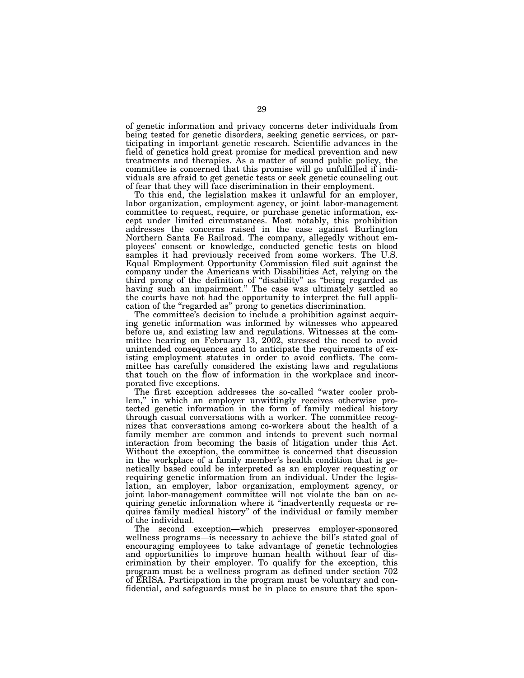of genetic information and privacy concerns deter individuals from being tested for genetic disorders, seeking genetic services, or participating in important genetic research. Scientific advances in the field of genetics hold great promise for medical prevention and new treatments and therapies. As a matter of sound public policy, the committee is concerned that this promise will go unfulfilled if individuals are afraid to get genetic tests or seek genetic counseling out of fear that they will face discrimination in their employment.

To this end, the legislation makes it unlawful for an employer, labor organization, employment agency, or joint labor-management committee to request, require, or purchase genetic information, except under limited circumstances. Most notably, this prohibition addresses the concerns raised in the case against Burlington Northern Santa Fe Railroad. The company, allegedly without employees' consent or knowledge, conducted genetic tests on blood samples it had previously received from some workers. The U.S. Equal Employment Opportunity Commission filed suit against the company under the Americans with Disabilities Act, relying on the third prong of the definition of ''disability'' as ''being regarded as having such an impairment.'' The case was ultimately settled so the courts have not had the opportunity to interpret the full application of the ''regarded as'' prong to genetics discrimination.

The committee's decision to include a prohibition against acquiring genetic information was informed by witnesses who appeared before us, and existing law and regulations. Witnesses at the committee hearing on February 13, 2002, stressed the need to avoid unintended consequences and to anticipate the requirements of existing employment statutes in order to avoid conflicts. The committee has carefully considered the existing laws and regulations that touch on the flow of information in the workplace and incorporated five exceptions.

The first exception addresses the so-called ''water cooler problem," in which an employer unwittingly receives otherwise protected genetic information in the form of family medical history through casual conversations with a worker. The committee recognizes that conversations among co-workers about the health of a family member are common and intends to prevent such normal interaction from becoming the basis of litigation under this Act. Without the exception, the committee is concerned that discussion in the workplace of a family member's health condition that is genetically based could be interpreted as an employer requesting or requiring genetic information from an individual. Under the legislation, an employer, labor organization, employment agency, or joint labor-management committee will not violate the ban on acquiring genetic information where it ''inadvertently requests or requires family medical history'' of the individual or family member of the individual.

The second exception—which preserves employer-sponsored wellness programs—is necessary to achieve the bill's stated goal of encouraging employees to take advantage of genetic technologies and opportunities to improve human health without fear of discrimination by their employer. To qualify for the exception, this program must be a wellness program as defined under section 702 of ERISA. Participation in the program must be voluntary and confidential, and safeguards must be in place to ensure that the spon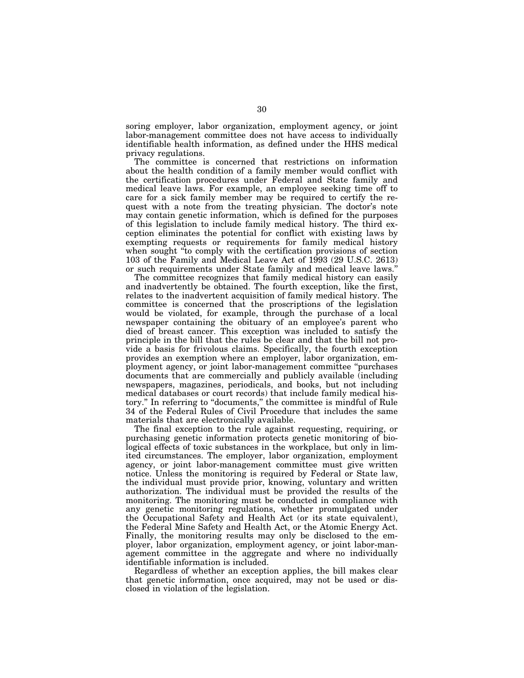soring employer, labor organization, employment agency, or joint labor-management committee does not have access to individually identifiable health information, as defined under the HHS medical privacy regulations.

The committee is concerned that restrictions on information about the health condition of a family member would conflict with the certification procedures under Federal and State family and medical leave laws. For example, an employee seeking time off to care for a sick family member may be required to certify the request with a note from the treating physician. The doctor's note may contain genetic information, which is defined for the purposes of this legislation to include family medical history. The third exception eliminates the potential for conflict with existing laws by exempting requests or requirements for family medical history when sought ''to comply with the certification provisions of section 103 of the Family and Medical Leave Act of 1993 (29 U.S.C. 2613) or such requirements under State family and medical leave laws.''

The committee recognizes that family medical history can easily and inadvertently be obtained. The fourth exception, like the first, relates to the inadvertent acquisition of family medical history. The committee is concerned that the proscriptions of the legislation would be violated, for example, through the purchase of a local newspaper containing the obituary of an employee's parent who died of breast cancer. This exception was included to satisfy the principle in the bill that the rules be clear and that the bill not provide a basis for frivolous claims. Specifically, the fourth exception provides an exemption where an employer, labor organization, employment agency, or joint labor-management committee ''purchases documents that are commercially and publicly available (including newspapers, magazines, periodicals, and books, but not including medical databases or court records) that include family medical history.'' In referring to ''documents,'' the committee is mindful of Rule 34 of the Federal Rules of Civil Procedure that includes the same materials that are electronically available.

The final exception to the rule against requesting, requiring, or purchasing genetic information protects genetic monitoring of biological effects of toxic substances in the workplace, but only in limited circumstances. The employer, labor organization, employment agency, or joint labor-management committee must give written notice. Unless the monitoring is required by Federal or State law, the individual must provide prior, knowing, voluntary and written authorization. The individual must be provided the results of the monitoring. The monitoring must be conducted in compliance with any genetic monitoring regulations, whether promulgated under the Occupational Safety and Health Act (or its state equivalent), the Federal Mine Safety and Health Act, or the Atomic Energy Act. Finally, the monitoring results may only be disclosed to the employer, labor organization, employment agency, or joint labor-management committee in the aggregate and where no individually identifiable information is included.

Regardless of whether an exception applies, the bill makes clear that genetic information, once acquired, may not be used or disclosed in violation of the legislation.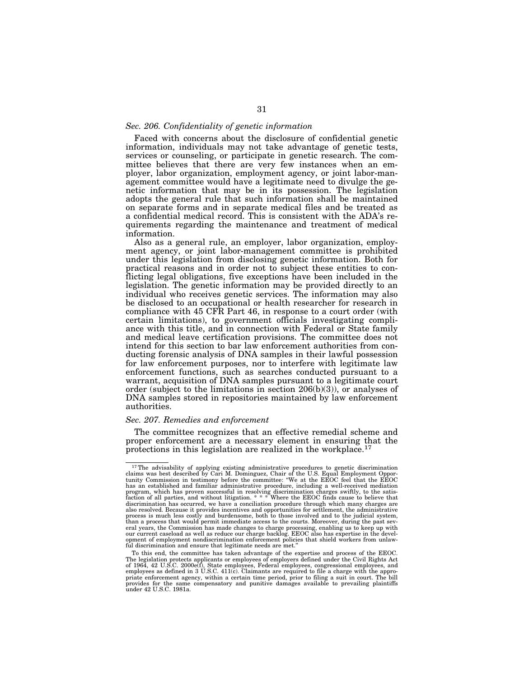## *Sec. 206. Confidentiality of genetic information*

Faced with concerns about the disclosure of confidential genetic information, individuals may not take advantage of genetic tests, services or counseling, or participate in genetic research. The committee believes that there are very few instances when an employer, labor organization, employment agency, or joint labor-management committee would have a legitimate need to divulge the genetic information that may be in its possession. The legislation adopts the general rule that such information shall be maintained on separate forms and in separate medical files and be treated as a confidential medical record. This is consistent with the ADA's requirements regarding the maintenance and treatment of medical information.

Also as a general rule, an employer, labor organization, employment agency, or joint labor-management committee is prohibited under this legislation from disclosing genetic information. Both for practical reasons and in order not to subject these entities to conflicting legal obligations, five exceptions have been included in the legislation. The genetic information may be provided directly to an individual who receives genetic services. The information may also be disclosed to an occupational or health researcher for research in compliance with 45 CFR Part 46, in response to a court order (with certain limitations), to government officials investigating compliance with this title, and in connection with Federal or State family and medical leave certification provisions. The committee does not intend for this section to bar law enforcement authorities from conducting forensic analysis of DNA samples in their lawful possession for law enforcement purposes, nor to interfere with legitimate law enforcement functions, such as searches conducted pursuant to a warrant, acquisition of DNA samples pursuant to a legitimate court order (subject to the limitations in section  $206(b)(3)$ ), or analyses of DNA samples stored in repositories maintained by law enforcement authorities.

## *Sec. 207. Remedies and enforcement*

The committee recognizes that an effective remedial scheme and proper enforcement are a necessary element in ensuring that the protections in this legislation are realized in the workplace.17

<sup>&</sup>lt;sup>17</sup>The advisability of applying existing administrative procedures to genetic discrimination claims was best described by Cari M. Dominguez, Chair of the U.S. Equal Employment Opportunity Commission in testimony before t program, which has proven successful in resolving discrimination charges swiftly, to the satis-<br>faction of all parties, and without litigation. \* \* \* Where the EEOC finds cause to believe that<br>discrimination has occurred, also resolved. Because it provides incentives and opportunities for settlement, the administrative process is much less costly and burdensome, both to those involved and to the judicial system, than a process that would permit immediate access to the courts. Moreover, during the past several years, the Commission has made changes to charge processing, enabling us to keep up with our current caseload as well as reduce our charge backlog. EEOC also has expertise in the devel-<br>opment of employment nondiscrimination enforcement policies that shield workers from unlaw-<br>ful discrimination and ensure tha

To this end, the committee has taken advantage of the expertise and process of the EEOC. The legislation protects applicants or employees of employers defined under the Civil Rights Act<br>of 1964, 42 U.S.C. 2000e(f), State employees, Federal employees, congressional employees, and<br>employees as defined in 3 U.S.C priate enforcement agency, within a certain time period, prior to filing a suit in court. The bill provides for the same compensatory and punitive damages available to prevailing plaintiffs under 42 U.S.C. 1981a.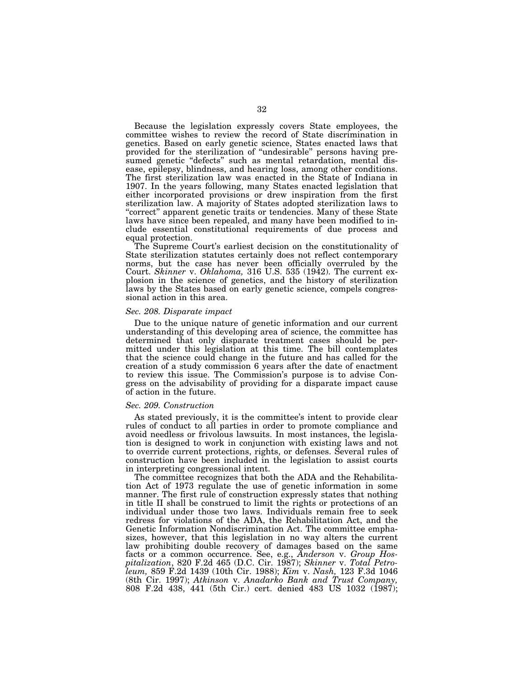Because the legislation expressly covers State employees, the committee wishes to review the record of State discrimination in genetics. Based on early genetic science, States enacted laws that provided for the sterilization of ''undesirable'' persons having presumed genetic "defects" such as mental retardation, mental disease, epilepsy, blindness, and hearing loss, among other conditions. The first sterilization law was enacted in the State of Indiana in 1907. In the years following, many States enacted legislation that either incorporated provisions or drew inspiration from the first sterilization law. A majority of States adopted sterilization laws to "correct" apparent genetic traits or tendencies. Many of these State laws have since been repealed, and many have been modified to include essential constitutional requirements of due process and equal protection.

The Supreme Court's earliest decision on the constitutionality of State sterilization statutes certainly does not reflect contemporary norms, but the case has never been officially overruled by the Court. *Skinner* v. *Oklahoma,* 316 U.S. 535 (1942). The current explosion in the science of genetics, and the history of sterilization laws by the States based on early genetic science, compels congressional action in this area.

#### *Sec. 208. Disparate impact*

Due to the unique nature of genetic information and our current understanding of this developing area of science, the committee has determined that only disparate treatment cases should be permitted under this legislation at this time. The bill contemplates that the science could change in the future and has called for the creation of a study commission 6 years after the date of enactment to review this issue. The Commission's purpose is to advise Congress on the advisability of providing for a disparate impact cause of action in the future.

## *Sec. 209. Construction*

As stated previously, it is the committee's intent to provide clear rules of conduct to all parties in order to promote compliance and avoid needless or frivolous lawsuits. In most instances, the legislation is designed to work in conjunction with existing laws and not to override current protections, rights, or defenses. Several rules of construction have been included in the legislation to assist courts in interpreting congressional intent.

The committee recognizes that both the ADA and the Rehabilitation Act of 1973 regulate the use of genetic information in some manner. The first rule of construction expressly states that nothing in title II shall be construed to limit the rights or protections of an individual under those two laws. Individuals remain free to seek redress for violations of the ADA, the Rehabilitation Act, and the Genetic Information Nondiscrimination Act. The committee emphasizes, however, that this legislation in no way alters the current law prohibiting double recovery of damages based on the same facts or a common occurrence. See, e.g., *Anderson* v. *Group Hospitalization*, 820 F.2d 465 (D.C. Cir. 1987); *Skinner* v. *Total Petroleum,* 859 F.2d 1439 (10th Cir. 1988); *Kim* v. *Nash,* 123 F.3d 1046 (8th Cir. 1997); *Atkinson* v. *Anadarko Bank and Trust Company,*  808 F.2d 438, 441 (5th Cir.) cert. denied 483 US 1032 (1987);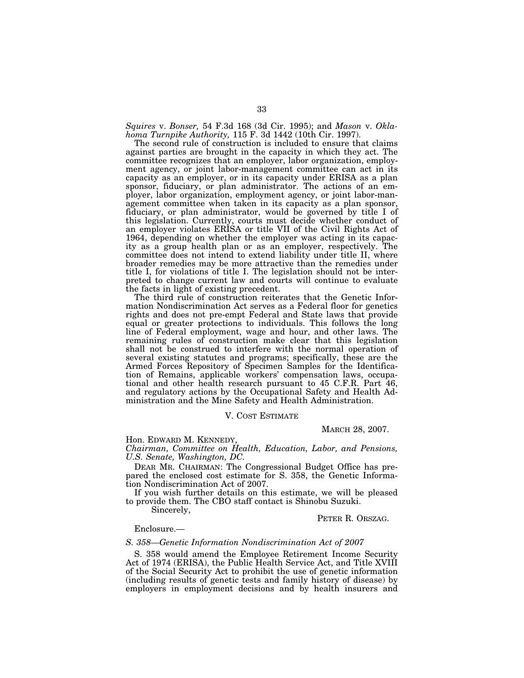*Squires* v. *Bonser,* 54 F.3d 168 (3d Cir. 1995); and *Mason* v. *Oklahoma Turnpike Authority,* 115 F. 3d 1442 (10th Cir. 1997).

The second rule of construction is included to ensure that claims against parties are brought in the capacity in which they act. The committee recognizes that an employer, labor organization, employment agency, or joint labor-management committee can act in its capacity as an employer, or in its capacity under ERISA as a plan sponsor, fiduciary, or plan administrator. The actions of an employer, labor organization, employment agency, or joint labor-management committee when taken in its capacity as a plan sponsor, fiduciary, or plan administrator, would be governed by title I of this legislation. Currently, courts must decide whether conduct of an employer violates ERISA or title VII of the Civil Rights Act of 1964, depending on whether the employer was acting in its capacity as a group health plan or as an employer, respectively. The committee does not intend to extend liability under title II, where broader remedies may be more attractive than the remedies under title I, for violations of title I. The legislation should not be interpreted to change current law and courts will continue to evaluate the facts in light of existing precedent.

The third rule of construction reiterates that the Genetic Information Nondiscrimination Act serves as a Federal floor for genetics rights and does not pre-empt Federal and State laws that provide equal or greater protections to individuals. This follows the long line of Federal employment, wage and hour, and other laws. The remaining rules of construction make clear that this legislation shall not be construed to interfere with the normal operation of several existing statutes and programs; specifically, these are the Armed Forces Repository of Specimen Samples for the Identification of Remains, applicable workers' compensation laws, occupational and other health research pursuant to 45 C.F.R. Part 46, and regulatory actions by the Occupational Safety and Health Administration and the Mine Safety and Health Administration.

#### V. COST ESTIMATE

#### MARCH 28, 2007.

Hon. EDWARD M. KENNEDY,

*Chairman, Committee on Health, Education, Labor, and Pensions, U.S. Senate, Washington, DC.* 

DEAR MR. CHAIRMAN: The Congressional Budget Office has prepared the enclosed cost estimate for S. 358, the Genetic Information Nondiscrimination Act of 2007.

If you wish further details on this estimate, we will be pleased to provide them. The CBO staff contact is Shinobu Suzuki.

Sincerely,

PETER R. ORSZAG.

Enclosure.—

#### *S. 358—Genetic Information Nondiscrimination Act of 2007*

S. 358 would amend the Employee Retirement Income Security Act of 1974 (ERISA), the Public Health Service Act, and Title XVIII of the Social Security Act to prohibit the use of genetic information (including results of genetic tests and family history of disease) by employers in employment decisions and by health insurers and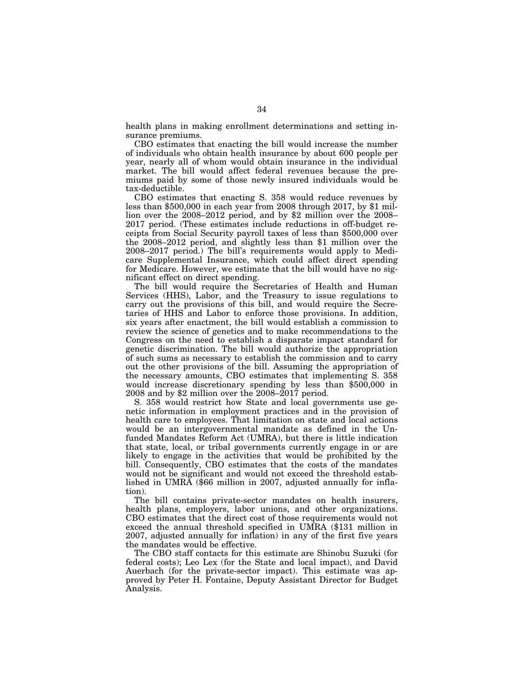health plans in making enrollment determinations and setting insurance premiums.

CBO estimates that enacting the bill would increase the number of individuals who obtain health insurance by about 600 people per year, nearly all of whom would obtain insurance in the individual market. The bill would affect federal revenues because the premiums paid by some of those newly insured individuals would be tax-deductible.

CBO estimates that enacting S. 358 would reduce revenues by less than \$500,000 in each year from 2008 through 2017, by \$1 million over the 2008–2012 period, and by \$2 million over the 2008– 2017 period. (These estimates include reductions in off-budget receipts from Social Security payroll taxes of less than \$500,000 over the 2008–2012 period, and slightly less than \$1 million over the 2008–2017 period.) The bill's requirements would apply to Medicare Supplemental Insurance, which could affect direct spending for Medicare. However, we estimate that the bill would have no significant effect on direct spending.

The bill would require the Secretaries of Health and Human Services (HHS), Labor, and the Treasury to issue regulations to carry out the provisions of this bill, and would require the Secretaries of HHS and Labor to enforce those provisions. In addition, six years after enactment, the bill would establish a commission to review the science of genetics and to make recommendations to the Congress on the need to establish a disparate impact standard for genetic discrimination. The bill would authorize the appropriation of such sums as necessary to establish the commission and to carry out the other provisions of the bill. Assuming the appropriation of the necessary amounts, CBO estimates that implementing S. 358 would increase discretionary spending by less than \$500,000 in 2008 and by \$2 million over the 2008–2017 period.

S. 358 would restrict how State and local governments use genetic information in employment practices and in the provision of health care to employees. That limitation on state and local actions would be an intergovernmental mandate as defined in the Unfunded Mandates Reform Act (UMRA), but there is little indication that state, local, or tribal governments currently engage in or are likely to engage in the activities that would be prohibited by the bill. Consequently, CBO estimates that the costs of the mandates would not be significant and would not exceed the threshold established in UMRA (\$66 million in 2007, adjusted annually for inflation).

The bill contains private-sector mandates on health insurers, health plans, employers, labor unions, and other organizations. CBO estimates that the direct cost of those requirements would not exceed the annual threshold specified in UMRA (\$131 million in 2007, adjusted annually for inflation) in any of the first five years the mandates would be effective.

The CBO staff contacts for this estimate are Shinobu Suzuki (for federal costs); Leo Lex (for the State and local impact), and David Auerbach (for the private-sector impact). This estimate was approved by Peter H. Fontaine, Deputy Assistant Director for Budget Analysis.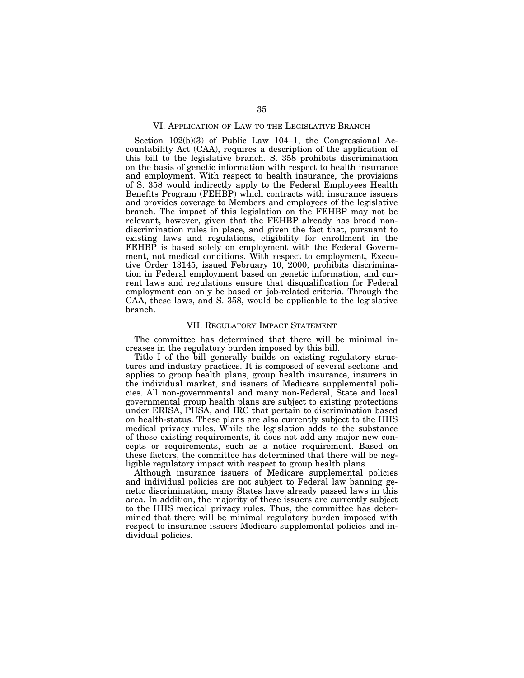## VI. APPLICATION OF LAW TO THE LEGISLATIVE BRANCH

Section 102(b)(3) of Public Law 104–1, the Congressional Accountability Act (CAA), requires a description of the application of this bill to the legislative branch. S. 358 prohibits discrimination on the basis of genetic information with respect to health insurance and employment. With respect to health insurance, the provisions of S. 358 would indirectly apply to the Federal Employees Health Benefits Program (FEHBP) which contracts with insurance issuers and provides coverage to Members and employees of the legislative branch. The impact of this legislation on the FEHBP may not be relevant, however, given that the FEHBP already has broad nondiscrimination rules in place, and given the fact that, pursuant to existing laws and regulations, eligibility for enrollment in the FEHBP is based solely on employment with the Federal Government, not medical conditions. With respect to employment, Executive Order 13145, issued February 10, 2000, prohibits discrimination in Federal employment based on genetic information, and current laws and regulations ensure that disqualification for Federal employment can only be based on job-related criteria. Through the CAA, these laws, and S. 358, would be applicable to the legislative branch.

#### VII. REGULATORY IMPACT STATEMENT

The committee has determined that there will be minimal increases in the regulatory burden imposed by this bill.

Title I of the bill generally builds on existing regulatory structures and industry practices. It is composed of several sections and applies to group health plans, group health insurance, insurers in the individual market, and issuers of Medicare supplemental policies. All non-governmental and many non-Federal, State and local governmental group health plans are subject to existing protections under ERISA, PHSA, and IRC that pertain to discrimination based on health-status. These plans are also currently subject to the HHS medical privacy rules. While the legislation adds to the substance of these existing requirements, it does not add any major new concepts or requirements, such as a notice requirement. Based on these factors, the committee has determined that there will be negligible regulatory impact with respect to group health plans.

Although insurance issuers of Medicare supplemental policies and individual policies are not subject to Federal law banning genetic discrimination, many States have already passed laws in this area. In addition, the majority of these issuers are currently subject to the HHS medical privacy rules. Thus, the committee has determined that there will be minimal regulatory burden imposed with respect to insurance issuers Medicare supplemental policies and individual policies.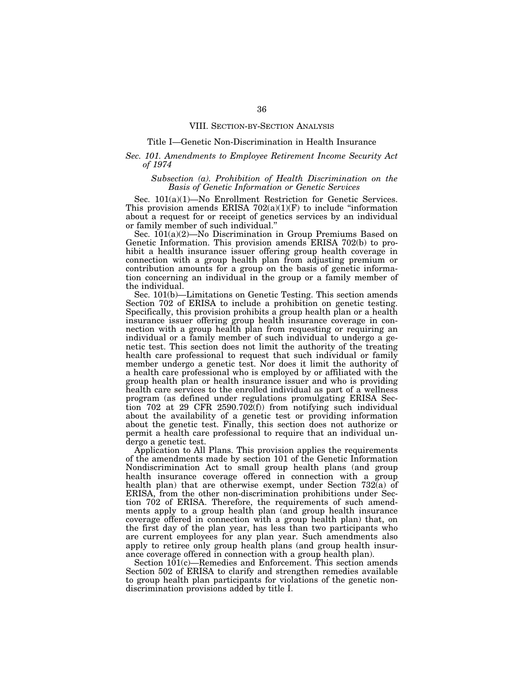## VIII. SECTION-BY-SECTION ANALYSIS

## Title I—Genetic Non-Discrimination in Health Insurance

## *Sec. 101. Amendments to Employee Retirement Income Security Act of 1974*

## *Subsection (a). Prohibition of Health Discrimination on the Basis of Genetic Information or Genetic Services*

Sec. 101(a)(1)—No Enrollment Restriction for Genetic Services. This provision amends ERISA  $702(a)(1)(F)$  to include "information about a request for or receipt of genetics services by an individual or family member of such individual.''

Sec. 101(a)(2)—No Discrimination in Group Premiums Based on Genetic Information. This provision amends ERISA 702(b) to prohibit a health insurance issuer offering group health coverage in connection with a group health plan from adjusting premium or contribution amounts for a group on the basis of genetic information concerning an individual in the group or a family member of the individual.

Sec. 101(b)—Limitations on Genetic Testing. This section amends Section 702 of ERISA to include a prohibition on genetic testing. Specifically, this provision prohibits a group health plan or a health insurance issuer offering group health insurance coverage in connection with a group health plan from requesting or requiring an individual or a family member of such individual to undergo a genetic test. This section does not limit the authority of the treating health care professional to request that such individual or family member undergo a genetic test. Nor does it limit the authority of a health care professional who is employed by or affiliated with the group health plan or health insurance issuer and who is providing health care services to the enrolled individual as part of a wellness program (as defined under regulations promulgating ERISA Section 702 at 29 CFR 2590.702(f)) from notifying such individual about the availability of a genetic test or providing information about the genetic test. Finally, this section does not authorize or permit a health care professional to require that an individual undergo a genetic test.

Application to All Plans. This provision applies the requirements of the amendments made by section 101 of the Genetic Information Nondiscrimination Act to small group health plans (and group health insurance coverage offered in connection with a group health plan) that are otherwise exempt, under Section 732(a) of ERISA, from the other non-discrimination prohibitions under Section 702 of ERISA. Therefore, the requirements of such amendments apply to a group health plan (and group health insurance coverage offered in connection with a group health plan) that, on the first day of the plan year, has less than two participants who are current employees for any plan year. Such amendments also apply to retiree only group health plans (and group health insurance coverage offered in connection with a group health plan).

Section 101(c)—Remedies and Enforcement. This section amends Section 502 of ERISA to clarify and strengthen remedies available to group health plan participants for violations of the genetic nondiscrimination provisions added by title I.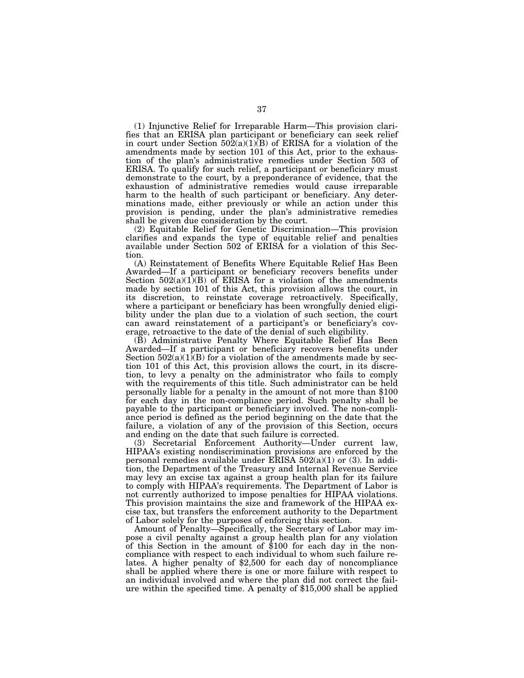(1) Injunctive Relief for Irreparable Harm—This provision clarifies that an ERISA plan participant or beneficiary can seek relief in court under Section 502(a)(1)(B) of ERISA for a violation of the amendments made by section 101 of this Act, prior to the exhaustion of the plan's administrative remedies under Section 503 of ERISA. To qualify for such relief, a participant or beneficiary must demonstrate to the court, by a preponderance of evidence, that the exhaustion of administrative remedies would cause irreparable harm to the health of such participant or beneficiary. Any determinations made, either previously or while an action under this provision is pending, under the plan's administrative remedies shall be given due consideration by the court.

(2) Equitable Relief for Genetic Discrimination—This provision clarifies and expands the type of equitable relief and penalties available under Section 502 of ERISA for a violation of this Section.

(A) Reinstatement of Benefits Where Equitable Relief Has Been Awarded—If a participant or beneficiary recovers benefits under Section  $502(a)(1)(B)$  of ERISA for a violation of the amendments made by section 101 of this Act, this provision allows the court, in its discretion, to reinstate coverage retroactively. Specifically, where a participant or beneficiary has been wrongfully denied eligibility under the plan due to a violation of such section, the court can award reinstatement of a participant's or beneficiary's coverage, retroactive to the date of the denial of such eligibility.

(B) Administrative Penalty Where Equitable Relief Has Been Awarded—If a participant or beneficiary recovers benefits under Section  $502(a)(1)(B)$  for a violation of the amendments made by section 101 of this Act, this provision allows the court, in its discretion, to levy a penalty on the administrator who fails to comply with the requirements of this title. Such administrator can be held personally liable for a penalty in the amount of not more than \$100 for each day in the non-compliance period. Such penalty shall be payable to the participant or beneficiary involved. The non-compliance period is defined as the period beginning on the date that the failure, a violation of any of the provision of this Section, occurs and ending on the date that such failure is corrected.

(3) Secretarial Enforcement Authority—Under current law, HIPAA's existing nondiscrimination provisions are enforced by the personal remedies available under ERISA  $502(a)(1)$  or  $(3)$ . In addition, the Department of the Treasury and Internal Revenue Service may levy an excise tax against a group health plan for its failure to comply with HIPAA's requirements. The Department of Labor is not currently authorized to impose penalties for HIPAA violations. This provision maintains the size and framework of the HIPAA excise tax, but transfers the enforcement authority to the Department of Labor solely for the purposes of enforcing this section.

Amount of Penalty—Specifically, the Secretary of Labor may impose a civil penalty against a group health plan for any violation of this Section in the amount of \$100 for each day in the noncompliance with respect to each individual to whom such failure relates. A higher penalty of \$2,500 for each day of noncompliance shall be applied where there is one or more failure with respect to an individual involved and where the plan did not correct the failure within the specified time. A penalty of \$15,000 shall be applied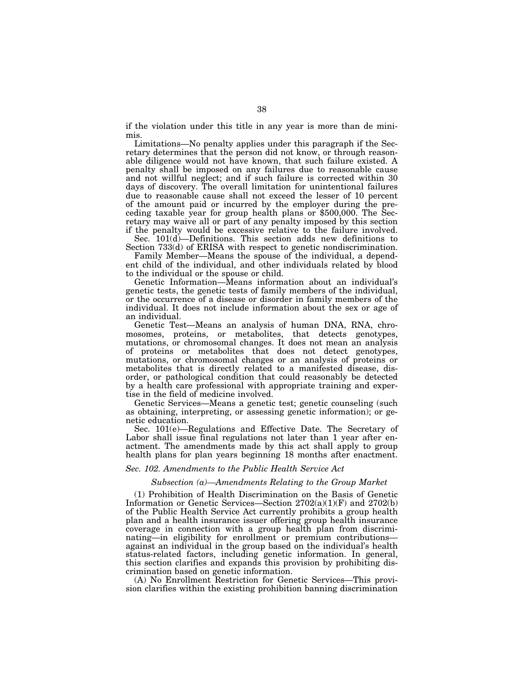if the violation under this title in any year is more than de minimis.

Limitations—No penalty applies under this paragraph if the Secretary determines that the person did not know, or through reasonable diligence would not have known, that such failure existed. A penalty shall be imposed on any failures due to reasonable cause and not willful neglect; and if such failure is corrected within 30 days of discovery. The overall limitation for unintentional failures due to reasonable cause shall not exceed the lesser of 10 percent of the amount paid or incurred by the employer during the preceding taxable year for group health plans or \$500,000. The Secretary may waive all or part of any penalty imposed by this section if the penalty would be excessive relative to the failure involved.

Sec. 101(d)—Definitions. This section adds new definitions to Section 733(d) of ERISA with respect to genetic nondiscrimination.

Family Member—Means the spouse of the individual, a dependent child of the individual, and other individuals related by blood to the individual or the spouse or child.

Genetic Information—Means information about an individual's genetic tests, the genetic tests of family members of the individual, or the occurrence of a disease or disorder in family members of the individual. It does not include information about the sex or age of an individual.

Genetic Test—Means an analysis of human DNA, RNA, chromosomes, proteins, or metabolites, that detects genotypes, mutations, or chromosomal changes. It does not mean an analysis of proteins or metabolites that does not detect genotypes, mutations, or chromosomal changes or an analysis of proteins or metabolites that is directly related to a manifested disease, disorder, or pathological condition that could reasonably be detected by a health care professional with appropriate training and expertise in the field of medicine involved.

Genetic Services—Means a genetic test; genetic counseling (such as obtaining, interpreting, or assessing genetic information); or genetic education.

Sec. 101(e)—Regulations and Effective Date. The Secretary of Labor shall issue final regulations not later than 1 year after enactment. The amendments made by this act shall apply to group health plans for plan years beginning 18 months after enactment.

#### *Sec. 102. Amendments to the Public Health Service Act*

#### *Subsection (a)—Amendments Relating to the Group Market*

(1) Prohibition of Health Discrimination on the Basis of Genetic Information or Genetic Services—Section 2702(a)(1)(F) and 2702(b) of the Public Health Service Act currently prohibits a group health plan and a health insurance issuer offering group health insurance coverage in connection with a group health plan from discriminating—in eligibility for enrollment or premium contributions against an individual in the group based on the individual's health status-related factors, including genetic information. In general, this section clarifies and expands this provision by prohibiting discrimination based on genetic information.

(A) No Enrollment Restriction for Genetic Services—This provision clarifies within the existing prohibition banning discrimination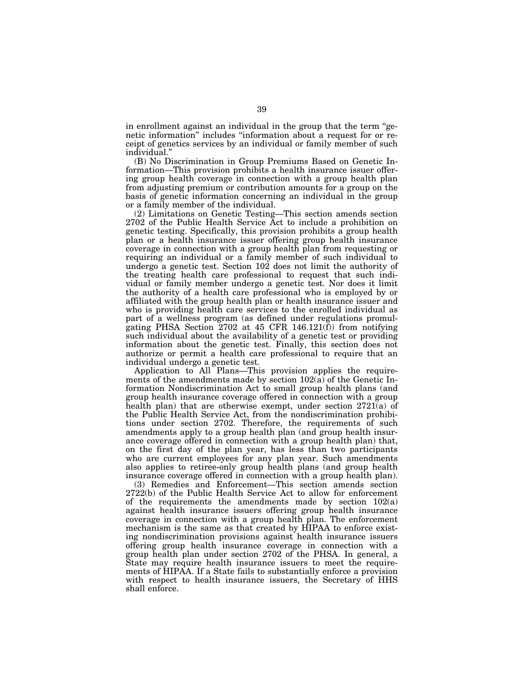in enrollment against an individual in the group that the term ''genetic information'' includes ''information about a request for or receipt of genetics services by an individual or family member of such individual.''

(B) No Discrimination in Group Premiums Based on Genetic Information—This provision prohibits a health insurance issuer offering group health coverage in connection with a group health plan from adjusting premium or contribution amounts for a group on the basis of genetic information concerning an individual in the group or a family member of the individual.

(2) Limitations on Genetic Testing—This section amends section 2702 of the Public Health Service Act to include a prohibition on genetic testing. Specifically, this provision prohibits a group health plan or a health insurance issuer offering group health insurance coverage in connection with a group health plan from requesting or requiring an individual or a family member of such individual to undergo a genetic test. Section 102 does not limit the authority of the treating health care professional to request that such individual or family member undergo a genetic test. Nor does it limit the authority of a health care professional who is employed by or affiliated with the group health plan or health insurance issuer and who is providing health care services to the enrolled individual as part of a wellness program (as defined under regulations promulgating PHSA Section 2702 at 45 CFR  $146.121(f)$  from notifying such individual about the availability of a genetic test or providing information about the genetic test. Finally, this section does not authorize or permit a health care professional to require that an individual undergo a genetic test.

Application to All Plans—This provision applies the requirements of the amendments made by section 102(a) of the Genetic Information Nondiscrimination Act to small group health plans (and group health insurance coverage offered in connection with a group health plan) that are otherwise exempt, under section 2721(a) of the Public Health Service Act, from the nondiscrimination prohibitions under section 2702. Therefore, the requirements of such amendments apply to a group health plan (and group health insurance coverage offered in connection with a group health plan) that, on the first day of the plan year, has less than two participants who are current employees for any plan year. Such amendments also applies to retiree-only group health plans (and group health insurance coverage offered in connection with a group health plan).

(3) Remedies and Enforcement—This section amends section 2722(b) of the Public Health Service Act to allow for enforcement of the requirements the amendments made by section 102(a) against health insurance issuers offering group health insurance coverage in connection with a group health plan. The enforcement mechanism is the same as that created by HIPAA to enforce existing nondiscrimination provisions against health insurance issuers offering group health insurance coverage in connection with a group health plan under section 2702 of the PHSA. In general, a State may require health insurance issuers to meet the requirements of HIPAA. If a State fails to substantially enforce a provision with respect to health insurance issuers, the Secretary of HHS shall enforce.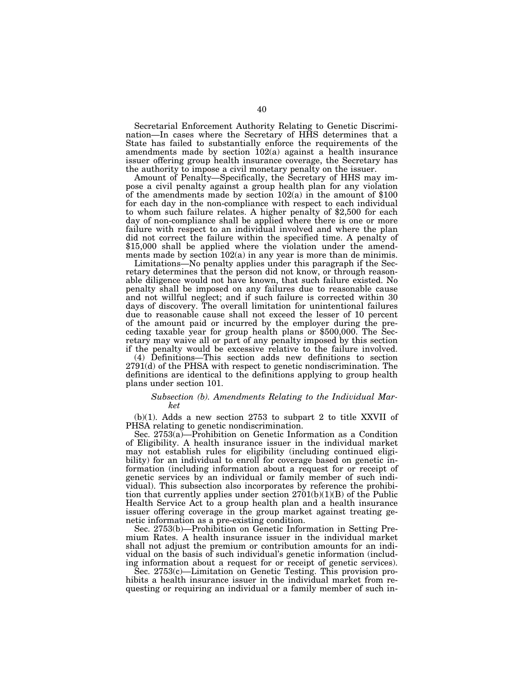Secretarial Enforcement Authority Relating to Genetic Discrimination—In cases where the Secretary of HHS determines that a State has failed to substantially enforce the requirements of the amendments made by section  $102(a)$  against a health insurance issuer offering group health insurance coverage, the Secretary has the authority to impose a civil monetary penalty on the issuer.

Amount of Penalty—Specifically, the Secretary of HHS may impose a civil penalty against a group health plan for any violation of the amendments made by section 102(a) in the amount of \$100 for each day in the non-compliance with respect to each individual to whom such failure relates. A higher penalty of \$2,500 for each day of non-compliance shall be applied where there is one or more failure with respect to an individual involved and where the plan did not correct the failure within the specified time. A penalty of \$15,000 shall be applied where the violation under the amendments made by section 102(a) in any year is more than de minimis.

Limitations—No penalty applies under this paragraph if the Secretary determines that the person did not know, or through reasonable diligence would not have known, that such failure existed. No penalty shall be imposed on any failures due to reasonable cause and not willful neglect; and if such failure is corrected within 30 days of discovery. The overall limitation for unintentional failures due to reasonable cause shall not exceed the lesser of 10 percent of the amount paid or incurred by the employer during the preceding taxable year for group health plans or \$500,000. The Secretary may waive all or part of any penalty imposed by this section if the penalty would be excessive relative to the failure involved.

(4) Definitions—This section adds new definitions to section 2791(d) of the PHSA with respect to genetic nondiscrimination. The definitions are identical to the definitions applying to group health plans under section 101.

## *Subsection (b). Amendments Relating to the Individual Market*

(b)(1). Adds a new section 2753 to subpart 2 to title XXVII of PHSA relating to genetic nondiscrimination.

Sec. 2753(a)—Prohibition on Genetic Information as a Condition of Eligibility. A health insurance issuer in the individual market may not establish rules for eligibility (including continued eligibility) for an individual to enroll for coverage based on genetic information (including information about a request for or receipt of genetic services by an individual or family member of such individual). This subsection also incorporates by reference the prohibition that currently applies under section  $2701(b)(1)(B)$  of the Public Health Service Act to a group health plan and a health insurance issuer offering coverage in the group market against treating genetic information as a pre-existing condition.

Sec. 2753(b)—Prohibition on Genetic Information in Setting Premium Rates. A health insurance issuer in the individual market shall not adjust the premium or contribution amounts for an individual on the basis of such individual's genetic information (including information about a request for or receipt of genetic services).

Sec. 2753(c)—Limitation on Genetic Testing. This provision prohibits a health insurance issuer in the individual market from requesting or requiring an individual or a family member of such in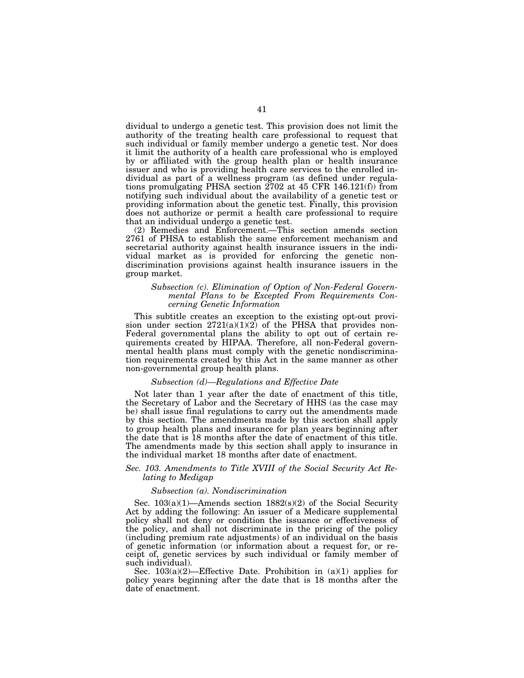dividual to undergo a genetic test. This provision does not limit the authority of the treating health care professional to request that such individual or family member undergo a genetic test. Nor does it limit the authority of a health care professional who is employed by or affiliated with the group health plan or health insurance issuer and who is providing health care services to the enrolled individual as part of a wellness program (as defined under regulations promulgating PHSA section 2702 at 45 CFR 146.121(f)) from notifying such individual about the availability of a genetic test or providing information about the genetic test. Finally, this provision does not authorize or permit a health care professional to require that an individual undergo a genetic test.

(2) Remedies and Enforcement.—This section amends section 2761 of PHSA to establish the same enforcement mechanism and secretarial authority against health insurance issuers in the individual market as is provided for enforcing the genetic nondiscrimination provisions against health insurance issuers in the group market.

## *Subsection (c). Elimination of Option of Non-Federal Governmental Plans to be Excepted From Requirements Concerning Genetic Information*

This subtitle creates an exception to the existing opt-out provision under section  $2721(a)(1)(2)$  of the PHSA that provides non-Federal governmental plans the ability to opt out of certain requirements created by HIPAA. Therefore, all non-Federal governmental health plans must comply with the genetic nondiscrimination requirements created by this Act in the same manner as other non-governmental group health plans.

## *Subsection (d)—Regulations and Effective Date*

Not later than 1 year after the date of enactment of this title, the Secretary of Labor and the Secretary of HHS (as the case may be) shall issue final regulations to carry out the amendments made by this section. The amendments made by this section shall apply to group health plans and insurance for plan years beginning after the date that is 18 months after the date of enactment of this title. The amendments made by this section shall apply to insurance in the individual market 18 months after date of enactment.

## *Sec. 103. Amendments to Title XVIII of the Social Security Act Relating to Medigap*

#### *Subsection (a). Nondiscrimination*

Sec. 103(a)(1)—Amends section 1882(s)(2) of the Social Security Act by adding the following: An issuer of a Medicare supplemental policy shall not deny or condition the issuance or effectiveness of the policy, and shall not discriminate in the pricing of the policy (including premium rate adjustments) of an individual on the basis of genetic information (or information about a request for, or receipt of, genetic services by such individual or family member of such individual).

Sec. 103(a)(2)—Effective Date. Prohibition in (a)(1) applies for policy years beginning after the date that is 18 months after the date of enactment.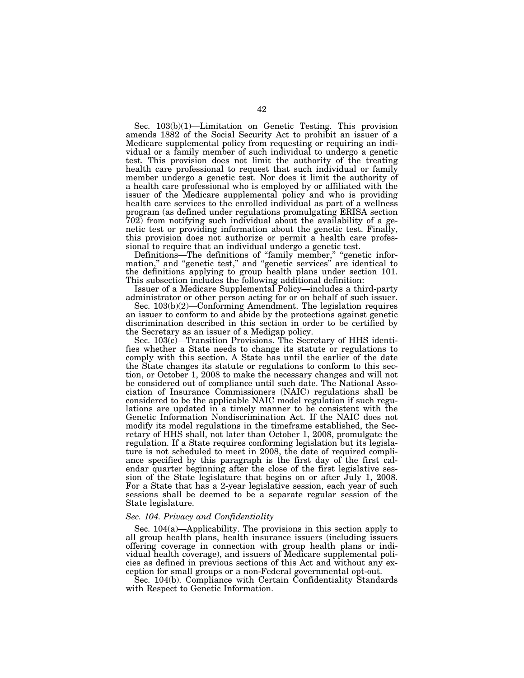Sec. 103(b)(1)—Limitation on Genetic Testing. This provision amends 1882 of the Social Security Act to prohibit an issuer of a Medicare supplemental policy from requesting or requiring an individual or a family member of such individual to undergo a genetic test. This provision does not limit the authority of the treating health care professional to request that such individual or family member undergo a genetic test. Nor does it limit the authority of a health care professional who is employed by or affiliated with the issuer of the Medicare supplemental policy and who is providing health care services to the enrolled individual as part of a wellness program (as defined under regulations promulgating ERISA section 702) from notifying such individual about the availability of a genetic test or providing information about the genetic test. Finally, this provision does not authorize or permit a health care professional to require that an individual undergo a genetic test.

Definitions—The definitions of "family member," "genetic information," and "genetic test," and "genetic services" are identical to the definitions applying to group health plans under section 101. This subsection includes the following additional definition:

Issuer of a Medicare Supplemental Policy—includes a third-party administrator or other person acting for or on behalf of such issuer.

Sec. 103(b)(2)—Conforming Amendment. The legislation requires an issuer to conform to and abide by the protections against genetic discrimination described in this section in order to be certified by the Secretary as an issuer of a Medigap policy.

Sec. 103(c)—Transition Provisions. The Secretary of HHS identifies whether a State needs to change its statute or regulations to comply with this section. A State has until the earlier of the date the State changes its statute or regulations to conform to this section, or October 1, 2008 to make the necessary changes and will not be considered out of compliance until such date. The National Association of Insurance Commissioners (NAIC) regulations shall be considered to be the applicable NAIC model regulation if such regulations are updated in a timely manner to be consistent with the Genetic Information Nondiscrimination Act. If the NAIC does not modify its model regulations in the timeframe established, the Secretary of HHS shall, not later than October 1, 2008, promulgate the regulation. If a State requires conforming legislation but its legislature is not scheduled to meet in 2008, the date of required compliance specified by this paragraph is the first day of the first calendar quarter beginning after the close of the first legislative session of the State legislature that begins on or after July 1, 2008. For a State that has a 2-year legislative session, each year of such sessions shall be deemed to be a separate regular session of the State legislature.

## *Sec. 104. Privacy and Confidentiality*

Sec. 104(a)—Applicability. The provisions in this section apply to all group health plans, health insurance issuers (including issuers offering coverage in connection with group health plans or individual health coverage), and issuers of Medicare supplemental policies as defined in previous sections of this Act and without any exception for small groups or a non-Federal governmental opt-out.

Sec. 104(b). Compliance with Certain Confidentiality Standards with Respect to Genetic Information.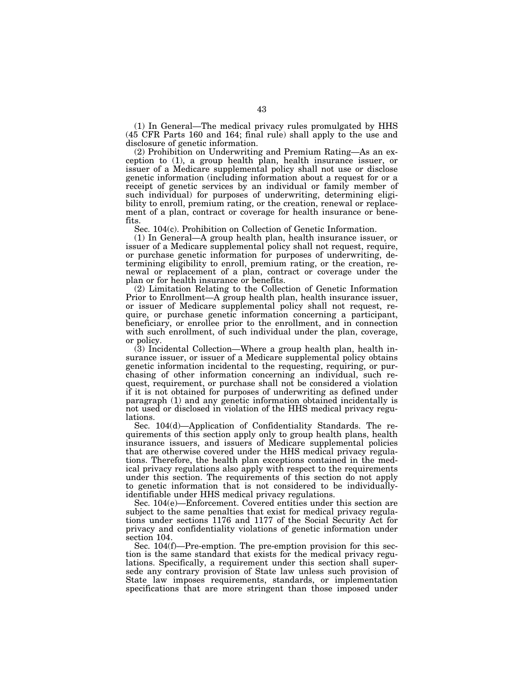(1) In General—The medical privacy rules promulgated by HHS (45 CFR Parts 160 and 164; final rule) shall apply to the use and disclosure of genetic information.

(2) Prohibition on Underwriting and Premium Rating—As an exception to (1), a group health plan, health insurance issuer, or issuer of a Medicare supplemental policy shall not use or disclose genetic information (including information about a request for or a receipt of genetic services by an individual or family member of such individual) for purposes of underwriting, determining eligibility to enroll, premium rating, or the creation, renewal or replacement of a plan, contract or coverage for health insurance or benefits.

Sec. 104(c). Prohibition on Collection of Genetic Information.

(1) In General—A group health plan, health insurance issuer, or issuer of a Medicare supplemental policy shall not request, require, or purchase genetic information for purposes of underwriting, determining eligibility to enroll, premium rating, or the creation, renewal or replacement of a plan, contract or coverage under the plan or for health insurance or benefits.

(2) Limitation Relating to the Collection of Genetic Information Prior to Enrollment—A group health plan, health insurance issuer, or issuer of Medicare supplemental policy shall not request, require, or purchase genetic information concerning a participant, beneficiary, or enrollee prior to the enrollment, and in connection with such enrollment, of such individual under the plan, coverage, or policy.

(3) Incidental Collection—Where a group health plan, health insurance issuer, or issuer of a Medicare supplemental policy obtains genetic information incidental to the requesting, requiring, or purchasing of other information concerning an individual, such request, requirement, or purchase shall not be considered a violation if it is not obtained for purposes of underwriting as defined under paragraph (1) and any genetic information obtained incidentally is not used or disclosed in violation of the HHS medical privacy regulations.

Sec. 104(d)—Application of Confidentiality Standards. The requirements of this section apply only to group health plans, health insurance issuers, and issuers of Medicare supplemental policies that are otherwise covered under the HHS medical privacy regulations. Therefore, the health plan exceptions contained in the medical privacy regulations also apply with respect to the requirements under this section. The requirements of this section do not apply to genetic information that is not considered to be individuallyidentifiable under HHS medical privacy regulations.

Sec. 104(e)—Enforcement. Covered entities under this section are subject to the same penalties that exist for medical privacy regulations under sections 1176 and 1177 of the Social Security Act for privacy and confidentiality violations of genetic information under section 104.

Sec. 104(f)—Pre-emption. The pre-emption provision for this section is the same standard that exists for the medical privacy regulations. Specifically, a requirement under this section shall supersede any contrary provision of State law unless such provision of State law imposes requirements, standards, or implementation specifications that are more stringent than those imposed under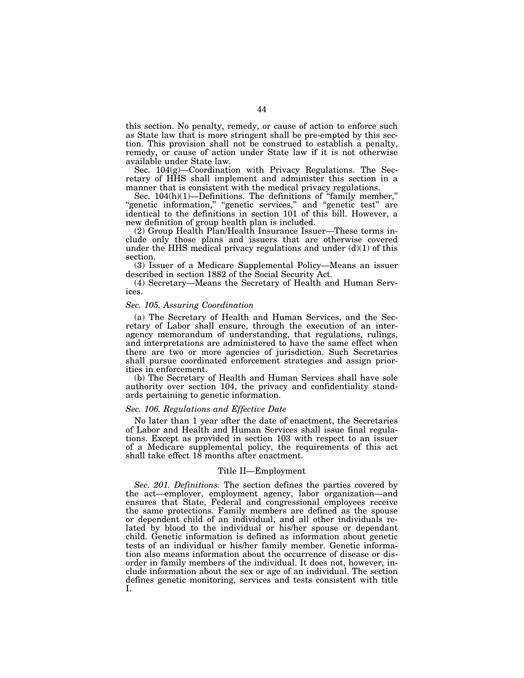this section. No penalty, remedy, or cause of action to enforce such as State law that is more stringent shall be pre-empted by this section. This provision shall not be construed to establish a penalty, remedy, or cause of action under State law if it is not otherwise available under State law.

Sec. 104(g)—Coordination with Privacy Regulations. The Secretary of HHS shall implement and administer this section in a manner that is consistent with the medical privacy regulations.

Sec. 104(h)(1)—Definitions. The definitions of ''family member,'' ''genetic information,'' ''genetic services,'' and ''genetic test'' are identical to the definitions in section 101 of this bill. However, a new definition of group health plan is included.

(2) Group Health Plan/Health Insurance Issuer—These terms include only those plans and issuers that are otherwise covered under the HHS medical privacy regulations and under  $(d)(1)$  of this section.

(3) Issuer of a Medicare Supplemental Policy—Means an issuer described in section 1882 of the Social Security Act.

(4) Secretary—Means the Secretary of Health and Human Services.

## *Sec. 105. Assuring Coordination*

(a) The Secretary of Health and Human Services, and the Secretary of Labor shall ensure, through the execution of an interagency memorandum of understanding, that regulations, rulings, and interpretations are administered to have the same effect when there are two or more agencies of jurisdiction. Such Secretaries shall pursue coordinated enforcement strategies and assign priorities in enforcement.

(b) The Secretary of Health and Human Services shall have sole authority over section 104, the privacy and confidentiality standards pertaining to genetic information.

## *Sec. 106. Regulations and Effective Date*

No later than 1 year after the date of enactment, the Secretaries of Labor and Health and Human Services shall issue final regulations. Except as provided in section 103 with respect to an issuer of a Medicare supplemental policy, the requirements of this act shall take effect 18 months after enactment.

## Title II—Employment

*Sec. 201. Definitions.* The section defines the parties covered by the act—employer, employment agency, labor organization—and ensures that State, Federal and congressional employees receive the same protections. Family members are defined as the spouse or dependent child of an individual, and all other individuals related by blood to the individual or his/her spouse or dependant child. Genetic information is defined as information about genetic tests of an individual or his/her family member. Genetic information also means information about the occurrence of disease or disorder in family members of the individual. It does not, however, include information about the sex or age of an individual. The section defines genetic monitoring, services and tests consistent with title I.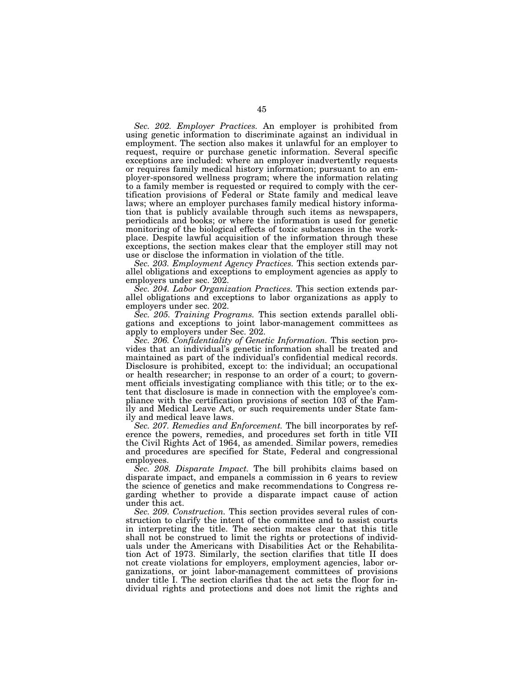*Sec. 202. Employer Practices.* An employer is prohibited from using genetic information to discriminate against an individual in employment. The section also makes it unlawful for an employer to request, require or purchase genetic information. Several specific exceptions are included: where an employer inadvertently requests or requires family medical history information; pursuant to an employer-sponsored wellness program; where the information relating to a family member is requested or required to comply with the certification provisions of Federal or State family and medical leave laws; where an employer purchases family medical history information that is publicly available through such items as newspapers, periodicals and books; or where the information is used for genetic monitoring of the biological effects of toxic substances in the workplace. Despite lawful acquisition of the information through these exceptions, the section makes clear that the employer still may not use or disclose the information in violation of the title.

*Sec. 203. Employment Agency Practices.* This section extends parallel obligations and exceptions to employment agencies as apply to employers under sec. 202.

*Sec. 204. Labor Organization Practices.* This section extends parallel obligations and exceptions to labor organizations as apply to employers under sec. 202.

*Sec. 205. Training Programs.* This section extends parallel obligations and exceptions to joint labor-management committees as apply to employers under Sec. 202.

*Sec. 206. Confidentiality of Genetic Information.* This section provides that an individual's genetic information shall be treated and maintained as part of the individual's confidential medical records. Disclosure is prohibited, except to: the individual; an occupational or health researcher; in response to an order of a court; to government officials investigating compliance with this title; or to the extent that disclosure is made in connection with the employee's compliance with the certification provisions of section 103 of the Family and Medical Leave Act, or such requirements under State family and medical leave laws.

*Sec. 207. Remedies and Enforcement.* The bill incorporates by reference the powers, remedies, and procedures set forth in title VII the Civil Rights Act of 1964, as amended. Similar powers, remedies and procedures are specified for State, Federal and congressional employees.

*Sec. 208. Disparate Impact.* The bill prohibits claims based on disparate impact, and empanels a commission in 6 years to review the science of genetics and make recommendations to Congress regarding whether to provide a disparate impact cause of action under this act.

*Sec. 209. Construction.* This section provides several rules of construction to clarify the intent of the committee and to assist courts in interpreting the title. The section makes clear that this title shall not be construed to limit the rights or protections of individuals under the Americans with Disabilities Act or the Rehabilitation Act of 1973. Similarly, the section clarifies that title II does not create violations for employers, employment agencies, labor organizations, or joint labor-management committees of provisions under title I. The section clarifies that the act sets the floor for individual rights and protections and does not limit the rights and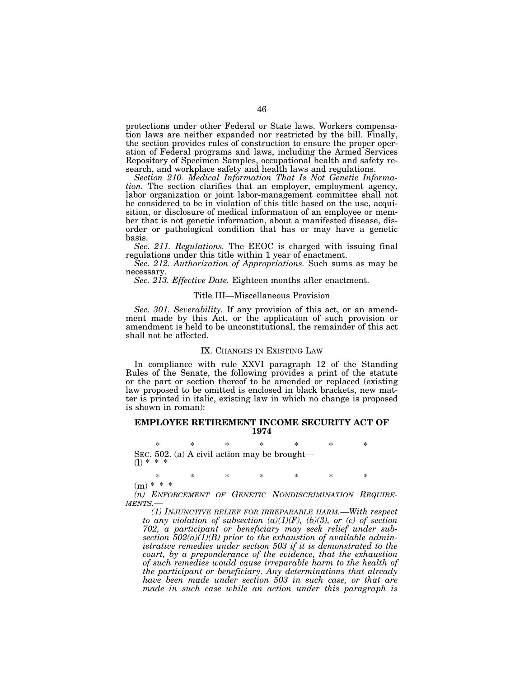protections under other Federal or State laws. Workers compensation laws are neither expanded nor restricted by the bill. Finally, the section provides rules of construction to ensure the proper operation of Federal programs and laws, including the Armed Services Repository of Specimen Samples, occupational health and safety research, and workplace safety and health laws and regulations.

*Section 210. Medical Information That Is Not Genetic Information.* The section clarifies that an employer, employment agency, labor organization or joint labor-management committee shall not be considered to be in violation of this title based on the use, acquisition, or disclosure of medical information of an employee or member that is not genetic information, about a manifested disease, disorder or pathological condition that has or may have a genetic basis.

*Sec. 211. Regulations.* The EEOC is charged with issuing final regulations under this title within 1 year of enactment.

*Sec. 212. Authorization of Appropriations.* Such sums as may be necessary.

*Sec. 213. Effective Date.* Eighteen months after enactment.

#### Title III—Miscellaneous Provision

*Sec. 301. Severability.* If any provision of this act, or an amendment made by this Act, or the application of such provision or amendment is held to be unconstitutional, the remainder of this act shall not be affected.

### IX. CHANGES IN EXISTING LAW

In compliance with rule XXVI paragraph 12 of the Standing Rules of the Senate, the following provides a print of the statute or the part or section thereof to be amended or replaced (existing law proposed to be omitted is enclosed in black brackets, new matter is printed in italic, existing law in which no change is proposed is shown in roman):

## **EMPLOYEE RETIREMENT INCOME SECURITY ACT OF 1974**

\* \* \* \* \* \* \* SEC. 502. (a) A civil action may be brought–<br>(1)  $* * *$ 

\* \* \* \* \* \* \*

 $(m) * * *$ 

*(n) ENFORCEMENT OF GENETIC NONDISCRIMINATION REQUIRE-MENTS.—*

*(1) INJUNCTIVE RELIEF FOR IRREPARABLE HARM.—With respect to any violation of subsection (a)(1)(F), (b)(3), or (c) of section 702, a participant or beneficiary may seek relief under subsection 502(a)(1)(B) prior to the exhaustion of available administrative remedies under section 503 if it is demonstrated to the court, by a preponderance of the evidence, that the exhaustion of such remedies would cause irreparable harm to the health of the participant or beneficiary. Any determinations that already have been made under section 503 in such case, or that are made in such case while an action under this paragraph is*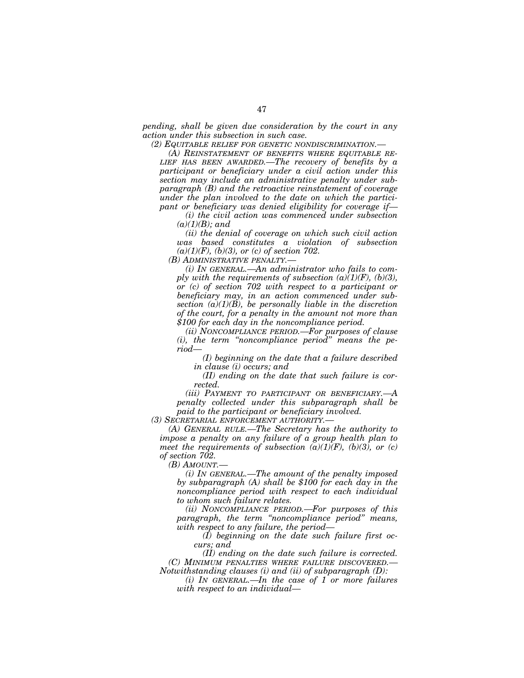*pending, shall be given due consideration by the court in any action under this subsection in such case.* 

*(2) EQUITABLE RELIEF FOR GENETIC NONDISCRIMINATION.—*

*(A) REINSTATEMENT OF BENEFITS WHERE EQUITABLE RE-LIEF HAS BEEN AWARDED.—The recovery of benefits by a participant or beneficiary under a civil action under this section may include an administrative penalty under subparagraph (B) and the retroactive reinstatement of coverage under the plan involved to the date on which the participant or beneficiary was denied eligibility for coverage if—*

*(i) the civil action was commenced under subsection (a)(1)(B); and* 

*(ii) the denial of coverage on which such civil action was based constitutes a violation of subsection (a)(1)(F), (b)(3), or (c) of section 702.* 

*(B) ADMINISTRATIVE PENALTY.—*

*(i) IN GENERAL.—An administrator who fails to comply with the requirements of subsection*  $(a)(1)(F)$ *,*  $(b)(3)$ *, or (c) of section 702 with respect to a participant or beneficiary may, in an action commenced under subsection (a)(1)(B), be personally liable in the discretion of the court, for a penalty in the amount not more than \$100 for each day in the noncompliance period.* 

*(ii) NONCOMPLIANCE PERIOD.—For purposes of clause (i), the term ''noncompliance period'' means the period—*

*(I) beginning on the date that a failure described in clause (i) occurs; and* 

*(II) ending on the date that such failure is corrected.* 

*(iii) PAYMENT TO PARTICIPANT OR BENEFICIARY.—A penalty collected under this subparagraph shall be paid to the participant or beneficiary involved.* 

*(3) SECRETARIAL ENFORCEMENT AUTHORITY.—*

*(A) GENERAL RULE.—The Secretary has the authority to impose a penalty on any failure of a group health plan to meet the requirements of subsection*  $(a)(1)(F)$ *,*  $(b)(3)$ *, or (c) of section 702.* 

*(B) AMOUNT.—*

*(i) IN GENERAL.—The amount of the penalty imposed by subparagraph (A) shall be \$100 for each day in the noncompliance period with respect to each individual to whom such failure relates.* 

*(ii) NONCOMPLIANCE PERIOD.—For purposes of this paragraph, the term ''noncompliance period'' means, with respect to any failure, the period—*

*(I) beginning on the date such failure first occurs; and* 

*(II) ending on the date such failure is corrected. (C) MINIMUM PENALTIES WHERE FAILURE DISCOVERED.— Notwithstanding clauses (i) and (ii) of subparagraph (D):* 

*(i) IN GENERAL.—In the case of 1 or more failures with respect to an individual—*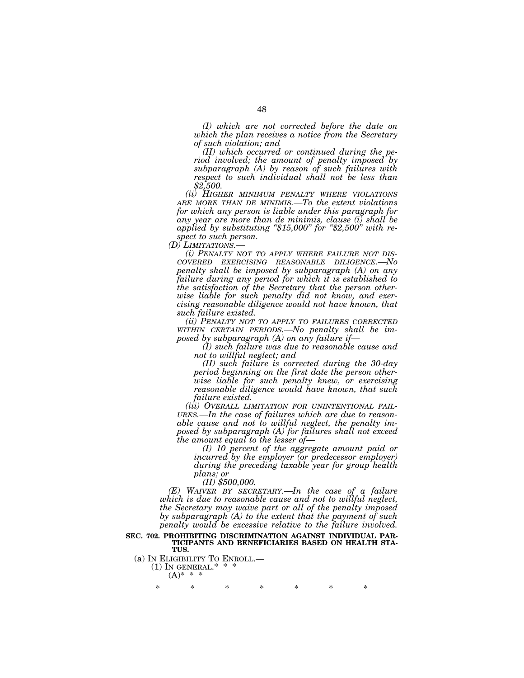*(I) which are not corrected before the date on which the plan receives a notice from the Secretary of such violation; and* 

*(II) which occurred or continued during the period involved; the amount of penalty imposed by subparagraph (A) by reason of such failures with respect to such individual shall not be less than \$2,500.* 

*(ii) HIGHER MINIMUM PENALTY WHERE VIOLATIONS ARE MORE THAN DE MINIMIS.—To the extent violations for which any person is liable under this paragraph for any year are more than de minimis, clause (i) shall be applied by substituting ''\$15,000'' for ''\$2,500'' with respect to such person.* 

*(D) LIMITATIONS.— (i) PENALTY NOT TO APPLY WHERE FAILURE NOT DIS- COVERED EXERCISING REASONABLE DILIGENCE.—No penalty shall be imposed by subparagraph (A) on any failure during any period for which it is established to the satisfaction of the Secretary that the person otherwise liable for such penalty did not know, and exercising reasonable diligence would not have known, that such failure existed.* 

*(ii) PENALTY NOT TO APPLY TO FAILURES CORRECTED WITHIN CERTAIN PERIODS.—No penalty shall be im-*

*(I) such failure was due to reasonable cause and not to willful neglect; and* 

*(II) such failure is corrected during the 30-day period beginning on the first date the person otherwise liable for such penalty knew, or exercising reasonable diligence would have known, that such failure existed.* 

*(iii) OVERALL LIMITATION FOR UNINTENTIONAL FAIL- URES.—In the case of failures which are due to reasonable cause and not to willful neglect, the penalty imposed by subparagraph (A) for failures shall not exceed the amount equal to the lesser of— (I) 10 percent of the aggregate amount paid or* 

*incurred by the employer (or predecessor employer) during the preceding taxable year for group health* 

*plans; or (II) \$500,000.* 

*(E) WAIVER BY SECRETARY.—In the case of a failure which is due to reasonable cause and not to willful neglect, the Secretary may waive part or all of the penalty imposed by subparagraph (A) to the extent that the payment of such penalty would be excessive relative to the failure involved.* 

## **SEC. 702. PROHIBITING DISCRIMINATION AGAINST INDIVIDUAL PAR-TICIPANTS AND BENEFICIARIES BASED ON HEALTH STA-TUS.**

(a) IN ELIGIBILITY TO ENROLL.—<br>(1) IN GENERAL.\* \* \*  $(A)$ \* \*

\* \* \* \* \* \* \*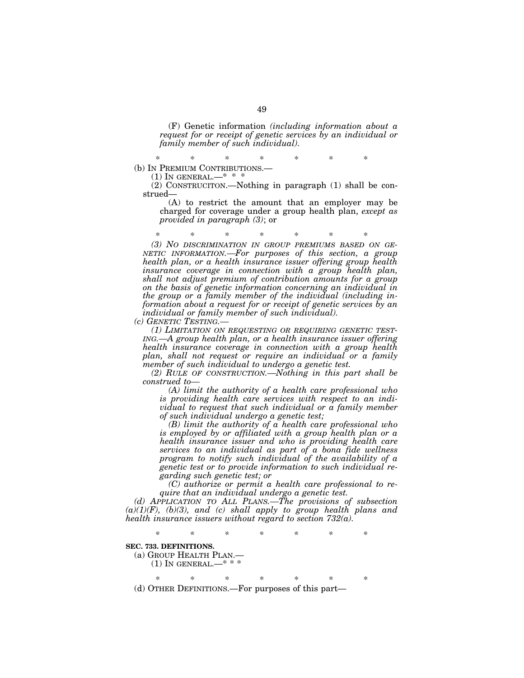(F) Genetic information *(including information about a request for or receipt of genetic services by an individual or family member of such individual).* 

\* \* \* \* \* \* \* (b) IN PREMIUM CONTRIBUTIONS.— (1) IN GENERAL.—\* \* \*

(2) CONSTRUCITON.—Nothing in paragraph (1) shall be construed—

(A) to restrict the amount that an employer may be charged for coverage under a group health plan, *except as provided in paragraph (3)*; or

\* \* \* \* \* \* \* *(3) NO DISCRIMINATION IN GROUP PREMIUMS BASED ON GE-NETIC INFORMATION.—For purposes of this section, a group health plan, or a health insurance issuer offering group health insurance coverage in connection with a group health plan, shall not adjust premium of contribution amounts for a group on the basis of genetic information concerning an individual in the group or a family member of the individual (including information about a request for or receipt of genetic services by an individual or family member of such individual).* 

*(c) GENETIC TESTING.—*

*(1) LIMITATION ON REQUESTING OR REQUIRING GENETIC TEST-ING.—A group health plan, or a health insurance issuer offering health insurance coverage in connection with a group health plan, shall not request or require an individual or a family member of such individual to undergo a genetic test.* 

*(2) RULE OF CONSTRUCTION.—Nothing in this part shall be construed to—*

*(A) limit the authority of a health care professional who is providing health care services with respect to an individual to request that such individual or a family member of such individual undergo a genetic test;* 

*(B) limit the authority of a health care professional who is employed by or affiliated with a group health plan or a health insurance issuer and who is providing health care services to an individual as part of a bona fide wellness program to notify such individual of the availability of a genetic test or to provide information to such individual regarding such genetic test; or* 

*(C) authorize or permit a health care professional to require that an individual undergo a genetic test.* 

*(d) APPLICATION TO ALL PLANS.—The provisions of subsection (a)(1)(F), (b)(3), and (c) shall apply to group health plans and health insurance issuers without regard to section 732(a).* 

*\* \* \* \* \* \* \** 

#### **SEC. 733. DEFINITIONS.**

(a) GROUP HEALTH PLAN.—

(1) IN GENERAL.—\* \* \*

\* \* \* \* \* \* \* (d) OTHER DEFINITIONS.—For purposes of this part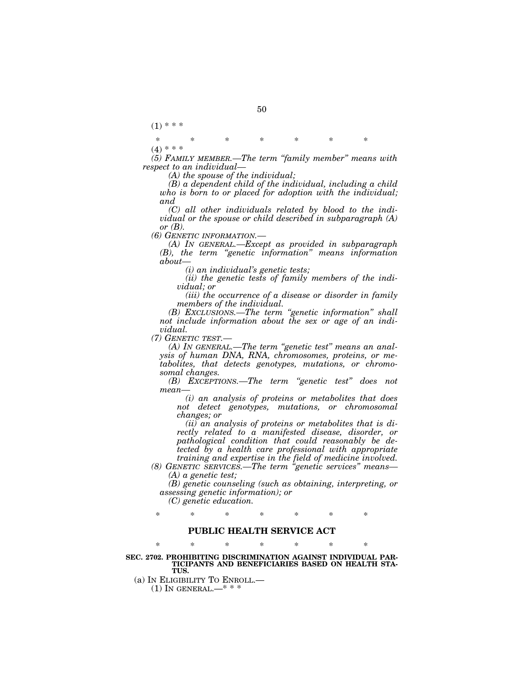$(1) * * *$ 

\* \* \* \* \* \* \*  $(4)$  \* \* \*

*(5) FAMILY MEMBER.—The term ''family member'' means with respect to an individual—*

*(A) the spouse of the individual;* 

*(B) a dependent child of the individual, including a child who is born to or placed for adoption with the individual; and* 

*(C) all other individuals related by blood to the individual or the spouse or child described in subparagraph (A) or (B).* 

*(6) GENETIC INFORMATION.—*

*(A) IN GENERAL.—Except as provided in subparagraph (B), the term ''genetic information'' means information about—*

*(i) an individual's genetic tests;* 

*(ii) the genetic tests of family members of the individual; or* 

*(iii) the occurrence of a disease or disorder in family members of the individual.* 

*(B) EXCLUSIONS.—The term ''genetic information'' shall not include information about the sex or age of an individual.* 

*(7) GENETIC TEST.—*

*(A) IN GENERAL.—The term ''genetic test'' means an analysis of human DNA, RNA, chromosomes, proteins, or metabolites, that detects genotypes, mutations, or chromosomal changes.* 

*(B) EXCEPTIONS.—The term ''genetic test'' does not mean—*

*(i) an analysis of proteins or metabolites that does not detect genotypes, mutations, or chromosomal changes; or* 

*(ii) an analysis of proteins or metabolites that is directly related to a manifested disease, disorder, or pathological condition that could reasonably be detected by a health care professional with appropriate training and expertise in the field of medicine involved.* 

*(8) GENETIC SERVICES.—The term ''genetic services'' means— (A) a genetic test;* 

*(B) genetic counseling (such as obtaining, interpreting, or assessing genetic information); or* 

*(C) genetic education.* 

\* \* \* \* \* \* \*

## **PUBLIC HEALTH SERVICE ACT**

\* \* \* \* \* \* \*

**SEC. 2702. PROHIBITING DISCRIMINATION AGAINST INDIVIDUAL PAR-TICIPANTS AND BENEFICIARIES BASED ON HEALTH STA-TUS.** 

(a) IN ELIGIBILITY TO ENROLL.—

 $(1)$  In GENERAL.—\*\*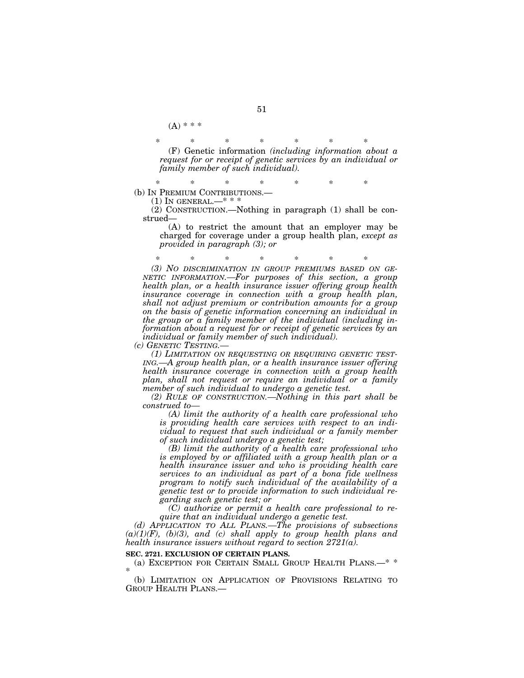$(A) * * *$ 

\* \* \* \* \* \* \* (F) Genetic information *(including information about a request for or receipt of genetic services by an individual or family member of such individual).* 

\* \* \* \* \* \* \* (b) IN PREMIUM CONTRIBUTIONS.—

 $(1)$  In GENERAL.—\*\*\*

(2) CONSTRUCTION.—Nothing in paragraph (1) shall be con- $\mathrm{strued}\text{-}$ 

(A) to restrict the amount that an employer may be charged for coverage under a group health plan, *except as provided in paragraph (3); or* 

\* \* \* \* \* \* \*

*(3) NO DISCRIMINATION IN GROUP PREMIUMS BASED ON GE- NETIC INFORMATION.—For purposes of this section, a group health plan, or a health insurance issuer offering group health insurance coverage in connection with a group health plan, shall not adjust premium or contribution amounts for a group on the basis of genetic information concerning an individual in the group or a family member of the individual (including information about a request for or receipt of genetic services by an individual or family member of such individual).* 

*(c) GENETIC TESTING.—*

*(1) LIMITATION ON REQUESTING OR REQUIRING GENETIC TEST-ING.—A group health plan, or a health insurance issuer offering health insurance coverage in connection with a group health plan, shall not request or require an individual or a family member of such individual to undergo a genetic test.* 

*(2) RULE OF CONSTRUCTION.—Nothing in this part shall be construed to—*

*(A) limit the authority of a health care professional who is providing health care services with respect to an individual to request that such individual or a family member of such individual undergo a genetic test;* 

*(B) limit the authority of a health care professional who is employed by or affiliated with a group health plan or a health insurance issuer and who is providing health care services to an individual as part of a bona fide wellness program to notify such individual of the availability of a genetic test or to provide information to such individual regarding such genetic test; or* 

*(C) authorize or permit a health care professional to require that an individual undergo a genetic test.* 

*(d) APPLICATION TO ALL PLANS.—The provisions of subsections*   $(a)(1)(F)$ ,  $(b)(3)$ , and  $(c)$  shall apply to group health plans and *health insurance issuers without regard to section 2721(a).* 

#### **SEC. 2721. EXCLUSION OF CERTAIN PLANS.**

(a) EXCEPTION FOR CERTAIN SMALL GROUP HEALTH PLANS.—\* \* \*

(b) LIMITATION ON APPLICATION OF PROVISIONS RELATING TO GROUP HEALTH PLANS.—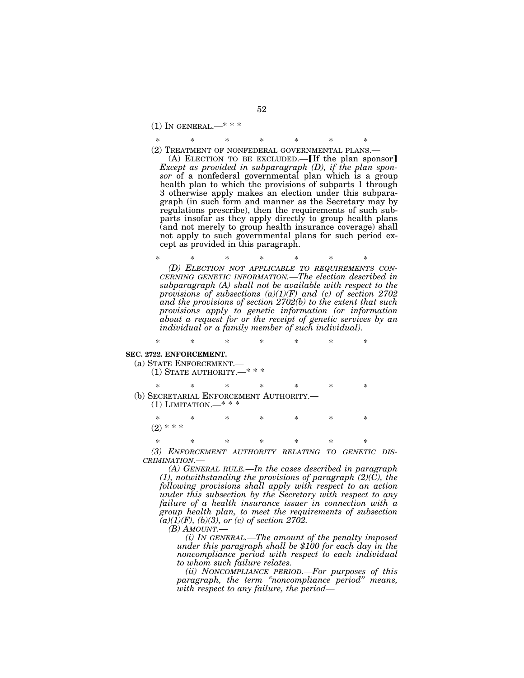$(1)$  In GENERAL.—\*\*\*

\* \* \* \* \* \* \* (2) TREATMENT OF NONFEDERAL GOVERNMENTAL PLANS.—

(A) ELECTION TO BE EXCLUDED. $-$ [If the plan sponsor] *Except as provided in subparagraph (D), if the plan sponsor* of a nonfederal governmental plan which is a group health plan to which the provisions of subparts 1 through 3 otherwise apply makes an election under this subparagraph (in such form and manner as the Secretary may by regulations prescribe), then the requirements of such subparts insofar as they apply directly to group health plans (and not merely to group health insurance coverage) shall not apply to such governmental plans for such period except as provided in this paragraph.

\* \* \* \* \* \* \* *(D) ELECTION NOT APPLICABLE TO REQUIREMENTS CON- CERNING GENETIC INFORMATION.—The election described in subparagraph (A) shall not be available with respect to the provisions of subsections (a)(1)(F) and (c) of section 2702 and the provisions of section 2702(b) to the extent that such provisions apply to genetic information (or information about a request for or the receipt of genetic services by an individual or a family member of such individual).* 

# \* \* \* \* \* \* \* **SEC. 2722. ENFORCEMENT.**  (a) STATE ENFORCEMENT.— (1) STATE AUTHORITY.—\* \* \* \* \* \* \* \* \* \* (b) SECRETARIAL ENFORCEMENT AUTHORITY.<br>
(1) LIMITATION.—\* \* \* \* \* \* \* \* \* \*  $(2)$  \* \* \*

\* \* \* \* \* \* \* *(3) ENFORCEMENT AUTHORITY RELATING TO GENETIC DIS-CRIMINATION.—*

*(A) GENERAL RULE.—In the cases described in paragraph (1), notwithstanding the provisions of paragraph (2)(C), the following provisions shall apply with respect to an action under this subsection by the Secretary with respect to any failure of a health insurance issuer in connection with a group health plan, to meet the requirements of subsection*   $(a)(1)(F), (b)(3),$  or  $(c)$  of section 2702.

*(B) AMOUNT.—*

*(i) IN GENERAL.—The amount of the penalty imposed under this paragraph shall be \$100 for each day in the noncompliance period with respect to each individual to whom such failure relates.* 

*(ii) NONCOMPLIANCE PERIOD.—For purposes of this paragraph, the term ''noncompliance period'' means, with respect to any failure, the period—*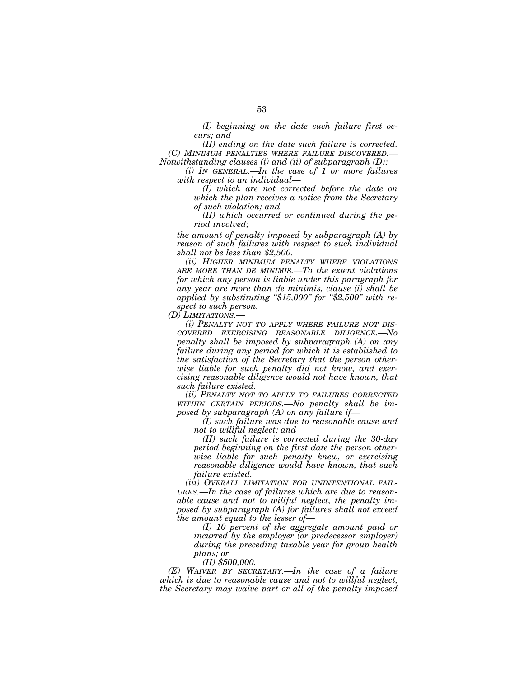*(I) beginning on the date such failure first occurs; and* 

*(II) ending on the date such failure is corrected. (C) MINIMUM PENALTIES WHERE FAILURE DISCOVERED.— Notwithstanding clauses (i) and (ii) of subparagraph (D):* 

*(i) IN GENERAL.—In the case of 1 or more failures with respect to an individual—*

*(I) which are not corrected before the date on which the plan receives a notice from the Secretary of such violation; and* 

*(II) which occurred or continued during the period involved;* 

*the amount of penalty imposed by subparagraph (A) by reason of such failures with respect to such individual shall not be less than \$2,500.* 

*(ii) HIGHER MINIMUM PENALTY WHERE VIOLATIONS ARE MORE THAN DE MINIMIS.—To the extent violations for which any person is liable under this paragraph for any year are more than de minimis, clause (i) shall be applied by substituting ''\$15,000'' for ''\$2,500'' with respect to such person.* 

*(D) LIMITATIONS.—*

*(i) PENALTY NOT TO APPLY WHERE FAILURE NOT DIS-COVERED EXERCISING REASONABLE DILIGENCE.—No penalty shall be imposed by subparagraph (A) on any failure during any period for which it is established to the satisfaction of the Secretary that the person otherwise liable for such penalty did not know, and exercising reasonable diligence would not have known, that such failure existed.* 

*(ii) PENALTY NOT TO APPLY TO FAILURES CORRECTED WITHIN CERTAIN PERIODS.—No penalty shall be imposed by subparagraph (A) on any failure if—*

*(I) such failure was due to reasonable cause and not to willful neglect; and* 

*(II) such failure is corrected during the 30-day period beginning on the first date the person otherwise liable for such penalty knew, or exercising reasonable diligence would have known, that such failure existed.* 

*(iii) OVERALL LIMITATION FOR UNINTENTIONAL FAIL-URES.—In the case of failures which are due to reasonable cause and not to willful neglect, the penalty imposed by subparagraph (A) for failures shall not exceed the amount equal to the lesser of—*

*(I) 10 percent of the aggregate amount paid or incurred by the employer (or predecessor employer) during the preceding taxable year for group health plans; or* 

*(II) \$500,000.* 

*(E) WAIVER BY SECRETARY.—In the case of a failure which is due to reasonable cause and not to willful neglect, the Secretary may waive part or all of the penalty imposed*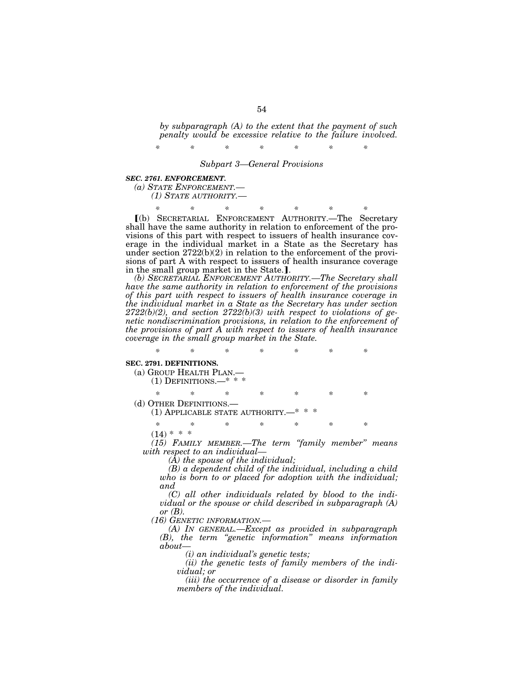*by subparagraph (A) to the extent that the payment of such penalty would be excessive relative to the failure involved.* 

*\* \* \* \* \* \* \* Subpart 3—General Provisions* 

#### *SEC. 2761. ENFORCEMENT.*

*(a) STATE ENFORCEMENT.—*

*(1) STATE AUTHORITY.—*

*\* \* \* \* \* \* \**  ø(b) SECRETARIAL ENFORCEMENT AUTHORITY.—The Secretary shall have the same authority in relation to enforcement of the provisions of this part with respect to issuers of health insurance coverage in the individual market in a State as the Secretary has under section  $2722(b)(2)$  in relation to the enforcement of the provisions of part A with respect to issuers of health insurance coverage in the small group market in the State...

*(b) SECRETARIAL ENFORCEMENT AUTHORITY.—The Secretary shall have the same authority in relation to enforcement of the provisions of this part with respect to issuers of health insurance coverage in the individual market in a State as the Secretary has under section 2722(b)(2), and section 2722(b)(3) with respect to violations of genetic nondiscrimination provisions, in relation to the enforcement of the provisions of part A with respect to issuers of health insurance coverage in the small group market in the State.* 

*\* \* \* \* \* \* \**  **SEC. 2791. DEFINITIONS.**  (a) GROUP HEALTH PLAN.— (1) DEFINITIONS.—\* \* \* \* \* \* \* \* \* \* (d) OTHER DEFINITIONS.—<br>(1) APPLICABLE STATE AUTHORITY. \* \* \* \* \* \* \*  $(14)$  \* \* \*

*(15) FAMILY MEMBER.—The term ''family member'' means with respect to an individual—*

*(A) the spouse of the individual;* 

*(B) a dependent child of the individual, including a child who is born to or placed for adoption with the individual; and* 

*(C) all other individuals related by blood to the individual or the spouse or child described in subparagraph (A) or (B).* 

*(16) GENETIC INFORMATION.—*

*(A) IN GENERAL.—Except as provided in subparagraph (B), the term ''genetic information'' means information about—*

*(i) an individual's genetic tests;* 

*(ii) the genetic tests of family members of the individual; or* 

*(iii) the occurrence of a disease or disorder in family members of the individual.*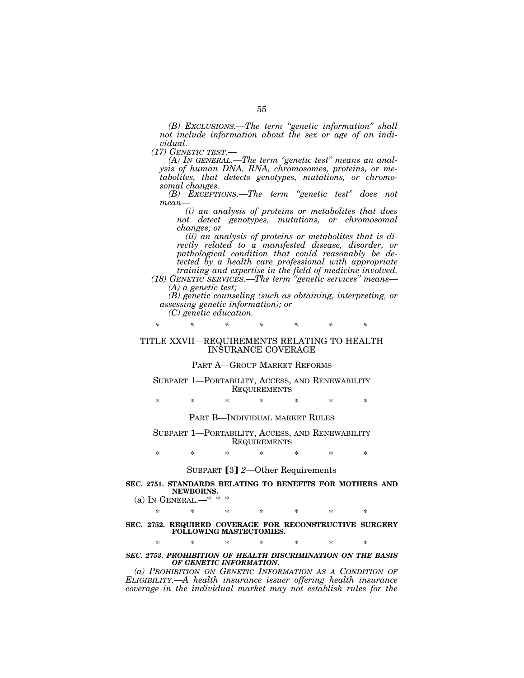*(B) EXCLUSIONS.—The term ''genetic information'' shall not include information about the sex or age of an individual.*<br>(17) GENETIC TEST.—

*(A)* In GENERAL.—The term "genetic test" means an anal*ysis of human DNA, RNA, chromosomes, proteins, or metabolites, that detects genotypes, mutations, or chromosomal changes.* 

*(B) EXCEPTIONS.—The term ''genetic test'' does not mean—*

*(i) an analysis of proteins or metabolites that does not detect genotypes, mutations, or chromosomal changes; or* 

*(ii) an analysis of proteins or metabolites that is directly related to a manifested disease, disorder, or pathological condition that could reasonably be detected by a health care professional with appropriate training and expertise in the field of medicine involved.* 

*(18) GENETIC SERVICES.—The term ''genetic services'' means— (A) a genetic test;* 

*(B) genetic counseling (such as obtaining, interpreting, or assessing genetic information); or* 

*(C) genetic education.* 

*\* \* \* \* \* \* \** 

## TITLE XXVII—REQUIREMENTS RELATING TO HEALTH INSURANCE COVERAGE

## PART A—GROUP MARKET REFORMS

## SUBPART 1—PORTABILITY, ACCESS, AND RENEWABILITY **REQUIREMENTS**

\* \* \* \* \* \* \*

PART B—INDIVIDUAL MARKET RULES

SUBPART 1—PORTABILITY, ACCESS, AND RENEWABILITY REQUIREMENTS

\* \* \* \* \* \* \*

## SUBPART [3] 2-Other Requirements

## **SEC. 2751. STANDARDS RELATING TO BENEFITS FOR MOTHERS AND NEWBORNS.**

(a) IN GENERAL.— $* * *$ 

\* \* \* \* \* \* \*

## **SEC. 2752. REQUIRED COVERAGE FOR RECONSTRUCTIVE SURGERY FOLLOWING MASTECTOMIES.**

\* \* \* \* \* \* \*

## *SEC. 2753. PROHIBITION OF HEALTH DISCRIMINATION ON THE BASIS OF GENETIC INFORMATION.*

*(a) PROHIBITION ON GENETIC INFORMATION AS A CONDITION OF ELIGIBILITY.—A health insurance issuer offering health insurance coverage in the individual market may not establish rules for the*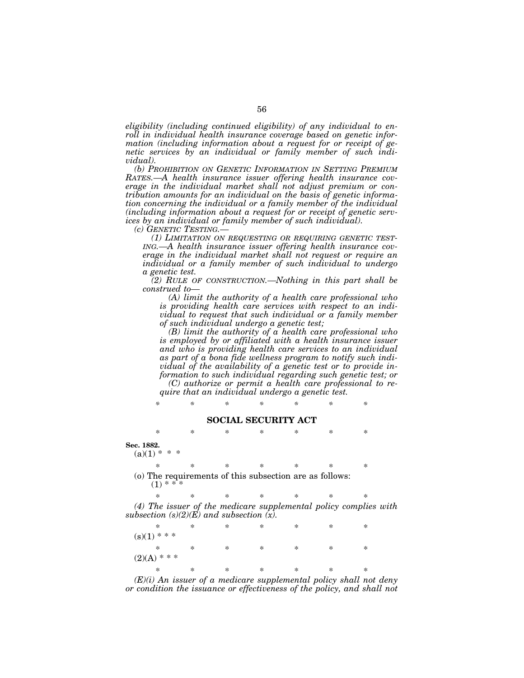*eligibility (including continued eligibility) of any individual to enroll in individual health insurance coverage based on genetic information (including information about a request for or receipt of genetic services by an individual or family member of such individual).* 

*(b) PROHIBITION ON GENETIC INFORMATION IN SETTING PREMIUM RATES.—A health insurance issuer offering health insurance coverage in the individual market shall not adjust premium or contribution amounts for an individual on the basis of genetic information concerning the individual or a family member of the individual (including information about a request for or receipt of genetic services by an individual or family member of such individual).* 

*(c) GENETIC TESTING.—*

*(1) LIMITATION ON REQUESTING OR REQUIRING GENETIC TEST-ING.—A health insurance issuer offering health insurance coverage in the individual market shall not request or require an individual or a family member of such individual to undergo a genetic test.* 

*(2) RULE OF CONSTRUCTION.—Nothing in this part shall be construed to—*

*(A) limit the authority of a health care professional who is providing health care services with respect to an individual to request that such individual or a family member of such individual undergo a genetic test;* 

*(B) limit the authority of a health care professional who is employed by or affiliated with a health insurance issuer and who is providing health care services to an individual as part of a bona fide wellness program to notify such individual of the availability of a genetic test or to provide information to such individual regarding such genetic test; or (C) authorize or permit a health care professional to require that an individual undergo a genetic test.* 

*\* \* \* \* \* \* \** 

#### **SOCIAL SECURITY ACT**

\* \* \* \* \* \* \*

**Sec. 1882.** 

 $(a)(1) * *$ 

\* \* \* \* \* \* \* (o) The requirements of this subsection are as follows:

 $(1) * *$ \* \* \* \* \* \* \*

*(4) The issuer of the medicare supplemental policy complies with subsection (s)(2)(E) and subsection (x).* 

|                | $\ast$ | $\ast$ | $\ast$ | ∗ | ∗ | ∗ | $\ast$ |  |  |
|----------------|--------|--------|--------|---|---|---|--------|--|--|
| $(s)(1)$ * * * |        |        |        |   |   |   |        |  |  |
|                | ∗      | $\ast$ | ∗      | ∗ | ∗ | ∗ | $\ast$ |  |  |
| $(2)(A)$ * * * |        |        |        |   |   |   |        |  |  |
|                | ∗      | $\ast$ | ∗      | ∗ | ∗ | ∗ | $\ast$ |  |  |

*(E)(i) An issuer of a medicare supplemental policy shall not deny or condition the issuance or effectiveness of the policy, and shall not*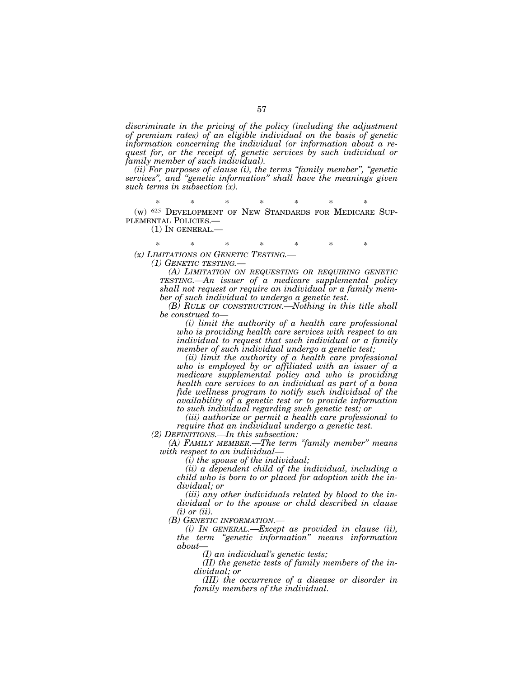discriminate in the pricing of the policy (including the adjustment *of premium rates) of an eligible individual on the basis of genetic information concerning the individual (or information about a request for, or the receipt of, genetic services by such individual or family member of such individual).* 

*(ii) For purposes of clause (i), the terms ''family member'', ''genetic services'', and ''genetic information'' shall have the meanings given such terms in subsection (x).* 

\* \* \* \* \* \* \* (w) 625 DEVELOPMENT OF NEW STANDARDS FOR MEDICARE SUP-PLEMENTAL POLICIES.—

(1) IN GENERAL.—

\* \* \* \* \* \* \* *(x) LIMITATIONS ON GENETIC TESTING.— (1) GENETIC TESTING.—*

> *(A) LIMITATION ON REQUESTING OR REQUIRING GENETIC TESTING.—An issuer of a medicare supplemental policy shall not request or require an individual or a family member of such individual to undergo a genetic test.*

> *(B) RULE OF CONSTRUCTION.—Nothing in this title shall be construed to—*

*(i) limit the authority of a health care professional who is providing health care services with respect to an individual to request that such individual or a family member of such individual undergo a genetic test;* 

*(ii) limit the authority of a health care professional who is employed by or affiliated with an issuer of a medicare supplemental policy and who is providing health care services to an individual as part of a bona fide wellness program to notify such individual of the availability of a genetic test or to provide information to such individual regarding such genetic test; or* 

*(iii) authorize or permit a health care professional to require that an individual undergo a genetic test.* 

*(2) DEFINITIONS.—In this subsection: (A) FAMILY MEMBER.—The term ''family member'' means with respect to an individual—*

*(i) the spouse of the individual;* 

*(ii) a dependent child of the individual, including a child who is born to or placed for adoption with the individual; or* 

*(iii) any other individuals related by blood to the individual or to the spouse or child described in clause (i) or (ii).* 

*(B) GENETIC INFORMATION.—*

*(i) IN GENERAL.—Except as provided in clause (ii), the term ''genetic information'' means information about—*

*(I) an individual's genetic tests;* 

*(II) the genetic tests of family members of the individual; or* 

*(III) the occurrence of a disease or disorder in family members of the individual.*